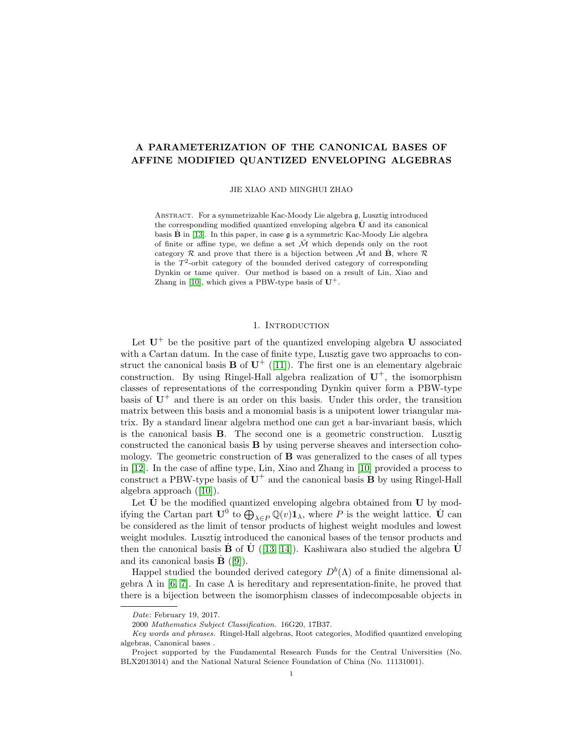# A PARAMETERIZATION OF THE CANONICAL BASES OF AFFINE MODIFIED QUANTIZED ENVELOPING ALGEBRAS

JIE XIAO AND MINGHUI ZHAO

Abstract. For a symmetrizable Kac-Moody Lie algebra g, Lusztig introduced the corresponding modified quantized enveloping algebra  $U$  and its canonical basis **B** in [\[13\]](#page-21-0). In this paper, in case g is a symmetric Kac-Moody Lie algebra of finite or affine type, we define a set  $\tilde{\mathcal{M}}$  which depends only on the root category  $\mathcal R$  and prove that there is a bijection between  $\tilde{\mathcal M}$  and  $\mathbf B$ , where  $\mathcal R$ is the  $T^2$ -orbit category of the bounded derived category of corresponding Dynkin or tame quiver. Our method is based on a result of Lin, Xiao and Zhang in [\[10\]](#page-21-1), which gives a PBW-type basis of  $\mathbf{U}^+.$ 

#### 1. INTRODUCTION

Let  $U^+$  be the positive part of the quantized enveloping algebra U associated with a Cartan datum. In the case of finite type, Lusztig gave two approachs to construct the canonical basis **B** of  $U^+$  ([\[11\]](#page-21-2)). The first one is an elementary algebraic construction. By using Ringel-Hall algebra realization of  $U^+$ , the isomorphism classes of representations of the corresponding Dynkin quiver form a PBW-type basis of  $U^+$  and there is an order on this basis. Under this order, the transition matrix between this basis and a monomial basis is a unipotent lower triangular matrix. By a standard linear algebra method one can get a bar-invariant basis, which is the canonical basis B. The second one is a geometric construction. Lusztig constructed the canonical basis B by using perverse sheaves and intersection cohomology. The geometric construction of B was generalized to the cases of all types in [\[12\]](#page-21-3). In the case of affine type, Lin, Xiao and Zhang in [\[10\]](#page-21-1) provided a process to construct a PBW-type basis of  $U^+$  and the canonical basis **B** by using Ringel-Hall algebra approach ([\[10\]](#page-21-1)).

Let  $\dot{\mathbf{U}}$  be the modified quantized enveloping algebra obtained from  $\mathbf{U}$  by modifying the Cartan part  $\mathbf{U}^0$  to  $\bigoplus_{\lambda \in P} \mathbb{Q}(v) \mathbf{1}_{\lambda}$ , where P is the weight lattice.  $\dot{\mathbf{U}}$  can be considered as the limit of tensor products of highest weight modules and lowest weight modules. Lusztig introduced the canonical bases of the tensor products and then the canonical basis **B** of **U** ([\[13,](#page-21-0) [14\]](#page-21-4)). Kashiwara also studied the algebra **U** and its canonical basis  $\mathbf{B}$  ([\[9\]](#page-21-5)).

Happel studied the bounded derived category  $D^b(\Lambda)$  of a finite dimensional algebra  $\Lambda$  in [\[6,](#page-21-6) [7\]](#page-21-7). In case  $\Lambda$  is hereditary and representation-finite, he proved that there is a bijection between the isomorphism classes of indecomposable objects in

Date: February 19, 2017.

<sup>2000</sup> Mathematics Subject Classification. 16G20, 17B37.

Key words and phrases. Ringel-Hall algebras, Root categories, Modified quantized enveloping algebras, Canonical bases .

Project supported by the Fundamental Research Funds for the Central Universities (No. BLX2013014) and the National Natural Science Foundation of China (No. 11131001).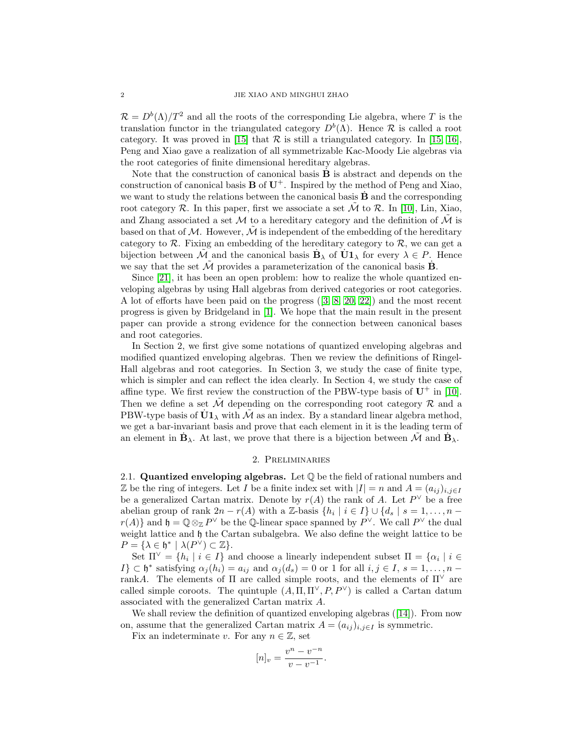$\mathcal{R} = D^{b}(\Lambda)/T^{2}$  and all the roots of the corresponding Lie algebra, where T is the translation functor in the triangulated category  $D^b(\Lambda)$ . Hence R is called a root category. It was proved in [\[15\]](#page-21-8) that  $R$  is still a triangulated category. In [\[15,](#page-21-8) [16\]](#page-21-9), Peng and Xiao gave a realization of all symmetrizable Kac-Moody Lie algebras via the root categories of finite dimensional hereditary algebras.

Note that the construction of canonical basis  $\dot{\mathbf{B}}$  is abstract and depends on the construction of canonical basis  $\bf{B}$  of  $\bf{U}^+$ . Inspired by the method of Peng and Xiao, we want to study the relations between the canonical basis  $\bf{B}$  and the corresponding root category  $\mathcal R$ . In this paper, first we associate a set  $\tilde{\mathcal M}$  to  $\mathcal R$ . In [\[10\]](#page-21-1), Lin, Xiao, and Zhang associated a set M to a hereditary category and the definition of  $\tilde{\mathcal{M}}$  is based on that of  $M$ . However,  $\hat{M}$  is independent of the embedding of the hereditary category to  $\mathcal{R}$ . Fixing an embedding of the hereditary category to  $\mathcal{R}$ , we can get a bijection between  $\tilde{\mathcal{M}}$  and the canonical basis  $\mathbf{B}_{\lambda}$  of  $\mathbf{U}\mathbf{1}_{\lambda}$  for every  $\lambda \in P$ . Hence we say that the set  $\tilde{\mathcal{M}}$  provides a parameterization of the canonical basis  $\dot{\mathbf{B}}$ .

Since [\[21\]](#page-21-10), it has been an open problem: how to realize the whole quantized enveloping algebras by using Hall algebras from derived categories or root categories. A lot of efforts have been paid on the progress ([\[3,](#page-21-11) [8,](#page-21-12) [20,](#page-21-13) [22\]](#page-21-14)) and the most recent progress is given by Bridgeland in [\[1\]](#page-20-0). We hope that the main result in the present paper can provide a strong evidence for the connection between canonical bases and root categories.

In Section 2, we first give some notations of quantized enveloping algebras and modified quantized enveloping algebras. Then we review the definitions of Ringel-Hall algebras and root categories. In Section 3, we study the case of finite type, which is simpler and can reflect the idea clearly. In Section 4, we study the case of affine type. We first review the construction of the PBW-type basis of  $U^+$  in [\[10\]](#page-21-1). Then we define a set  $\tilde{\mathcal{M}}$  depending on the corresponding root category  $\mathcal{R}$  and a PBW-type basis of  $\dot{U}1_{\lambda}$  with  $\tilde{\mathcal{M}}$  as an index. By a standard linear algebra method, we get a bar-invariant basis and prove that each element in it is the leading term of an element in  $\dot{\mathbf{B}}_{\lambda}$ . At last, we prove that there is a bijection between  $\tilde{\mathcal{M}}$  and  $\dot{\mathbf{B}}_{\lambda}$ .

#### 2. Preliminaries

2.1. Quantized enveloping algebras. Let Q be the field of rational numbers and Z be the ring of integers. Let I be a finite index set with  $|I| = n$  and  $A = (a_{ij})_{i,j\in I}$ be a generalized Cartan matrix. Denote by  $r(A)$  the rank of A. Let  $P^{\vee}$  be a free abelian group of rank  $2n - r(A)$  with a Z-basis  $\{h_i \mid i \in I\} \cup \{d_s \mid s = 1, \ldots, n - 1\}$  $r(A)$  and  $\mathfrak{h} = \mathbb{Q} \otimes_{\mathbb{Z}} P^{\vee}$  be the  $\mathbb{Q}$ -linear space spanned by  $P^{\vee}$ . We call  $P^{\vee}$  the dual weight lattice and  $\mathfrak h$  the Cartan subalgebra. We also define the weight lattice to be  $P = {\lambda \in \mathfrak{h}^* \mid \lambda(P^{\vee}) \subset \mathbb{Z}}.$ 

Set  $\Pi^{\vee} = \{h_i \mid i \in I\}$  and choose a linearly independent subset  $\Pi = \{\alpha_i \mid i \in I\}$ I}  $\subset \mathfrak{h}^*$  satisfying  $\alpha_j(h_i) = a_{ij}$  and  $\alpha_j(d_s) = 0$  or 1 for all  $i, j \in I$ ,  $s = 1, \ldots, n - 1$ rankA. The elements of  $\Pi$  are called simple roots, and the elements of  $\Pi^{\vee}$  are called simple coroots. The quintuple  $(A, \Pi, \Pi^{\vee}, P, P^{\vee})$  is called a Cartan datum associated with the generalized Cartan matrix A.

We shall review the definition of quantized enveloping algebras ([\[14\]](#page-21-4)). From now on, assume that the generalized Cartan matrix  $A = (a_{ij})_{i,j\in I}$  is symmetric.

Fix an indeterminate v. For any  $n \in \mathbb{Z}$ , set

$$
[n]_v = \frac{v^n - v^{-n}}{v - v^{-1}}.
$$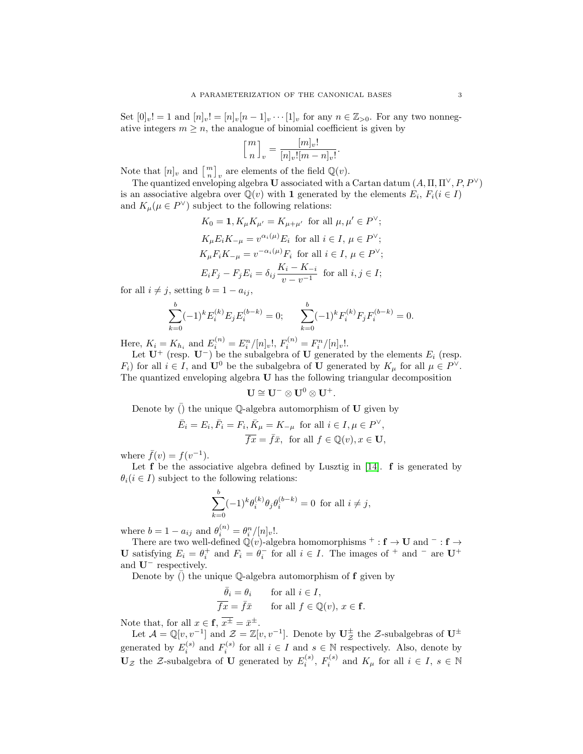Set  $[0]_v! = 1$  and  $[n]_v! = [n]_v[n-1]_v \cdots [1]_v$  for any  $n \in \mathbb{Z}_{\geq 0}$ . For any two nonnegative integers  $m \geq n$ , the analogue of binomial coefficient is given by

$$
\left[\genfrac{}{}{0pt}{}{m}{n}\right]_{v}=\frac{[m]_{v}!}{[n]_{v}![m-n]_{v}!}
$$

Note that  $[n]_v$  and  $\left[\begin{array}{c}m\\n\end{array}\right]_v$  are elements of the field  $\mathbb{Q}(v)$ .

The quantized enveloping algebra U associated with a Cartan datum  $(A, \Pi, \Pi^{\vee}, P, P^{\vee})$ is an associative algebra over  $\overline{\mathbb{Q}}(v)$  with 1 generated by the elements  $E_i$ ,  $F_i(i \in I)$ and  $K_{\mu}(\mu \in P^{\vee})$  subject to the following relations:

.

$$
K_0 = \mathbf{1}, K_\mu K_{\mu'} = K_{\mu + \mu'}
$$
 for all  $\mu, \mu' \in P^\vee$ ;  
\n
$$
K_\mu E_i K_{-\mu} = v^{\alpha_i(\mu)} E_i
$$
 for all  $i \in I, \mu \in P^\vee$ ;  
\n
$$
K_\mu F_i K_{-\mu} = v^{-\alpha_i(\mu)} F_i
$$
 for all  $i \in I, \mu \in P^\vee$ ;  
\n
$$
E_i F_j - F_j E_i = \delta_{ij} \frac{K_i - K_{-i}}{v - v^{-1}}
$$
 for all  $i, j \in I$ ;

for all  $i \neq j$ , setting  $b = 1 - a_{ij}$ ,

$$
\sum_{k=0}^{b} (-1)^{k} E_{i}^{(k)} E_{j} E_{i}^{(b-k)} = 0; \qquad \sum_{k=0}^{b} (-1)^{k} F_{i}^{(k)} F_{j} F_{i}^{(b-k)} = 0.
$$

Here,  $K_i = K_{h_i}$  and  $E_i^{(n)} = E_i^n/[n]_v!$ ,  $F_i^{(n)} = F_i^n/[n]_v!$ .

Let  $\mathbf{U}^+$  (resp.  $\mathbf{U}^-$ ) be the subalgebra of  $\mathbf U$  generated by the elements  $E_i$  (resp.  $F_i$ ) for all  $i \in I$ , and  $\mathbf{U}^0$  be the subalgebra of  $\mathbf{U}$  generated by  $K_\mu$  for all  $\mu \in P^{\vee}$ . The quantized enveloping algebra U has the following triangular decomposition

$$
\mathbf{U}\cong \mathbf{U}^-\otimes \mathbf{U}^0\otimes \mathbf{U}^+.
$$

Denote by  $()$  the unique  $\mathbb Q$ -algebra automorphism of  $\mathbf U$  given by

$$
\bar{E}_i = E_i, \bar{F}_i = F_i, \bar{K}_{\mu} = K_{-\mu} \text{ for all } i \in I, \mu \in P^{\vee},
$$
  

$$
\overline{fx} = \overline{f}\overline{x}, \text{ for all } f \in \mathbb{Q}(v), x \in \mathbf{U},
$$

where  $\bar{f}(v) = f(v^{-1})$ .

Let  $f$  be the associative algebra defined by Lusztig in [\[14\]](#page-21-4).  $f$  is generated by  $\theta_i$  ( $i \in I$ ) subject to the following relations:

$$
\sum_{k=0}^{b} (-1)^{k} \theta_i^{(k)} \theta_j \theta_i^{(b-k)} = 0 \text{ for all } i \neq j,
$$

where  $b = 1 - a_{ij}$  and  $\theta_i^{(n)} = \theta_i^n / [n]_v!$ .

There are two well-defined  $\mathbb{Q}(v)$ -algebra homomorphisms  $^+$  :  $f \rightarrow U$  and  $^-$  :  $f \rightarrow$ U satisfying  $E_i = \theta_i^+$  and  $F_i = \theta_i^-$  for all  $i \in I$ . The images of  $^+$  and  $^-$  are U<sup>+</sup> and U<sup>−</sup> respectively.

Denote by  $\overline{()}$  the unique Q-algebra automorphism of **f** given by

$$
\begin{aligned}\n\bar{\theta}_i &= \theta_i & \text{for all } i \in I, \\
\overline{fx} &= \bar{f}\bar{x} & \text{for all } f \in \mathbb{Q}(v), \, x \in \mathbf{f}.\n\end{aligned}
$$

Note that, for all  $x \in \mathbf{f}, \overline{x^{\pm}} = \overline{x}^{\pm}$ .

Let  $\mathcal{A} = \mathbb{Q}[v, v^{-1}]$  and  $\mathcal{Z} = \mathbb{Z}[v, v^{-1}]$ . Denote by  $\mathbf{U}_{\mathcal{Z}}^{\pm}$  the  $\mathcal{Z}$ -subalgebras of  $\mathbf{U}^{\pm}$ generated by  $E_i^{(s)}$  and  $F_i^{(s)}$  for all  $i \in I$  and  $s \in \mathbb{N}$  respectively. Also, denote by  $\mathbf{U}_{\mathcal{Z}}$  the Z-subalgebra of U generated by  $E_i^{(s)}$ ,  $F_i^{(s)}$  and  $K_\mu$  for all  $i \in I, s \in \mathbb{N}$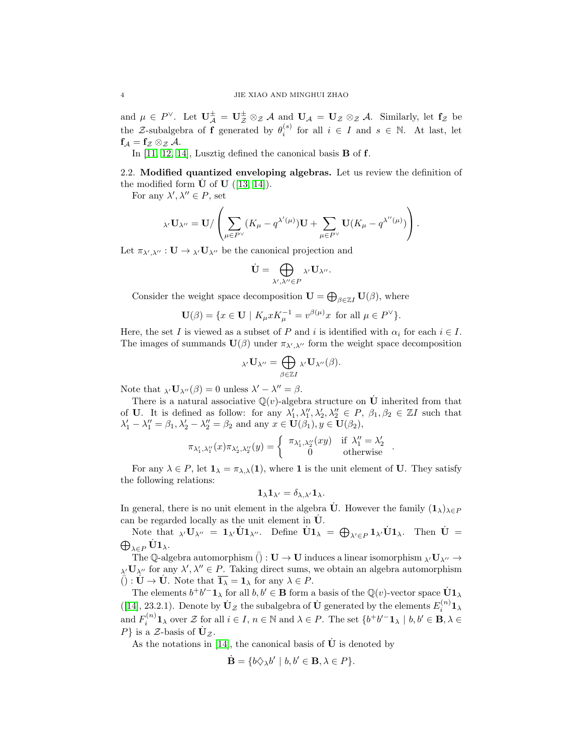and  $\mu \in P^{\vee}$ . Let  $\mathbf{U}_{\mathcal{A}}^{\pm} = \mathbf{U}_{\mathcal{Z}}^{\pm} \otimes_{\mathcal{Z}} \mathcal{A}$  and  $\mathbf{U}_{\mathcal{A}} = \mathbf{U}_{\mathcal{Z}} \otimes_{\mathcal{Z}} \mathcal{A}$ . Similarly, let  $\mathbf{f}_{\mathcal{Z}}$  be the Z-subalgebra of **f** generated by  $\theta_i^{(s)}$  for all  $i \in I$  and  $s \in \mathbb{N}$ . At last, let  $f_{\mathcal{A}} = f_{\mathcal{Z}} \otimes_{\mathcal{Z}} \mathcal{A}.$ 

In [\[11,](#page-21-2) [12,](#page-21-3) [14\]](#page-21-4), Lusztig defined the canonical basis B of f.

2.2. Modified quantized enveloping algebras. Let us review the definition of the modified form  $\dot{\mathbf{U}}$  of  $\mathbf{U}$  ([\[13,](#page-21-0) [14\]](#page-21-4)).

For any  $\lambda', \lambda'' \in P$ , set

$$
{}_{\lambda'}\mathbf{U}_{\lambda''}=\mathbf{U}/\left(\sum_{\mu\in P^{\vee}}(K_{\mu}-q^{\lambda'(\mu)})\mathbf{U}+\sum_{\mu\in P^{\vee}}\mathbf{U}(K_{\mu}-q^{\lambda''(\mu)})\right).
$$

Let  $\pi_{\lambda',\lambda''}: \mathbf{U} \to \lambda' \mathbf{U}_{\lambda''}$  be the canonical projection and

$$
\dot{\mathbf{U}} = \bigoplus_{\lambda',\lambda'' \in P} {}_{\lambda'}\mathbf{U}_{\lambda''}.
$$

Consider the weight space decomposition  $\mathbf{U} = \bigoplus_{\beta \in \mathbb{Z}I} \mathbf{U}(\beta)$ , where

$$
\mathbf{U}(\beta) = \{ x \in \mathbf{U} \mid K_{\mu} x K_{\mu}^{-1} = v^{\beta(\mu)} x \text{ for all } \mu \in P^{\vee} \}.
$$

Here, the set I is viewed as a subset of P and i is identified with  $\alpha_i$  for each  $i \in I$ . The images of summands  $\mathbf{U}(\beta)$  under  $\pi_{\lambda',\lambda''}$  form the weight space decomposition

$$
{}_{\lambda'}\mathbf{U}_{\lambda''}=\bigoplus_{\beta\in\mathbb{Z}I}\lambda'\mathbf{U}_{\lambda''}(\beta).
$$

Note that  $\chi(\mathbf{U}_{\lambda''}(\beta)) = 0$  unless  $\lambda' - \lambda'' = \beta$ .

There is a natural associative  $\mathbb{Q}(v)$ -algebra structure on  $\dot{\mathbf{U}}$  inherited from that of U. It is defined as follow: for any  $\lambda'_1, \lambda''_1, \lambda'_2, \lambda''_2 \in P$ ,  $\beta_1, \beta_2 \in \mathbb{Z}I$  such that  $\lambda'_1 - \lambda''_1 = \beta_1, \lambda'_2 - \lambda''_2 = \beta_2$  and any  $x \in \mathbf{U}(\beta_1), y \in \mathbf{U}(\beta_2)$ ,

$$
\pi_{\lambda_1',\lambda_1''}(x)\pi_{\lambda_2',\lambda_2''}(y)=\left\{\begin{array}{cc}\pi_{\lambda_1',\lambda_2''}(xy)&\text{if }\lambda_1''=\lambda_2'\\0&\text{otherwise}\end{array}\right..
$$

For any  $\lambda \in P$ , let  $\mathbf{1}_{\lambda} = \pi_{\lambda,\lambda}(1)$ , where 1 is the unit element of U. They satisfy the following relations:

$$
\mathbf{1}_{\lambda}\mathbf{1}_{\lambda'}=\delta_{\lambda,\lambda'}\mathbf{1}_{\lambda}.
$$

In general, there is no unit element in the algebra  $\dot{\mathbf{U}}$ . However the family  $(1_\lambda)_{\lambda \in P}$ can be regarded locally as the unit element in  $\dot{\mathbf{U}}$ .

Note that  $\lambda' U_{\lambda''} = 1_{\lambda'} \dot{U} 1_{\lambda''}$ . Define  $\dot{U} 1_{\lambda} = \bigoplus_{\lambda' \in P} 1_{\lambda'} \dot{U} 1_{\lambda}$ . Then  $\dot{U} =$  $\bigoplus_{\lambda\in P}\dot{\mathbf{U}}\mathbf{1}_{\lambda}.$ 

The Q-algebra automorphism  $(): \mathbf{U} \to \mathbf{U}$  induces a linear isomorphism  $\lambda' \mathbf{U}_{\lambda''} \to$  $\lambda$ <sup>*U*</sup> $\lambda$ <sup>*n*</sup> for any  $\lambda'$ ,  $\lambda'' \in P$ . Taking direct sums, we obtain an algebra automorphism  $\overline{()}: \mathbf{U} \to \mathbf{U}$ . Note that  $\overline{\mathbf{1}_{\lambda}} = \mathbf{1}_{\lambda}$  for any  $\lambda \in P$ .

The elements  $b^+b'^-1_\lambda$  for all  $b, b' \in \mathbf{B}$  form a basis of the  $\mathbb{Q}(v)$ -vector space  $\dot{\mathbf{U}}1_\lambda$ ([\[14\]](#page-21-4), 23.2.1). Denote by  $\dot{\mathbf{U}}_{\mathcal{Z}}$  the subalgebra of  $\dot{\mathbf{U}}$  generated by the elements  $E_i^{(n)}\mathbf{1}_{\lambda}$ and  $F_i^{(n)}\mathbf{1}_{\lambda}$  over Z for all  $i \in I$ ,  $n \in \mathbb{N}$  and  $\lambda \in P$ . The set  $\{b^+b'^-\mathbf{1}_{\lambda} \mid b, b' \in \mathbf{B}, \lambda \in$  $P\}$  is a Z-basis of  $\dot{\mathbf{U}}_z$ .

As the notations in [\[14\]](#page-21-4), the canonical basis of  $\dot{\mathbf{U}}$  is denoted by

$$
\dot{\mathbf{B}} = \{b\Diamond_{\lambda}b' \mid b, b' \in \mathbf{B}, \lambda \in P\}.
$$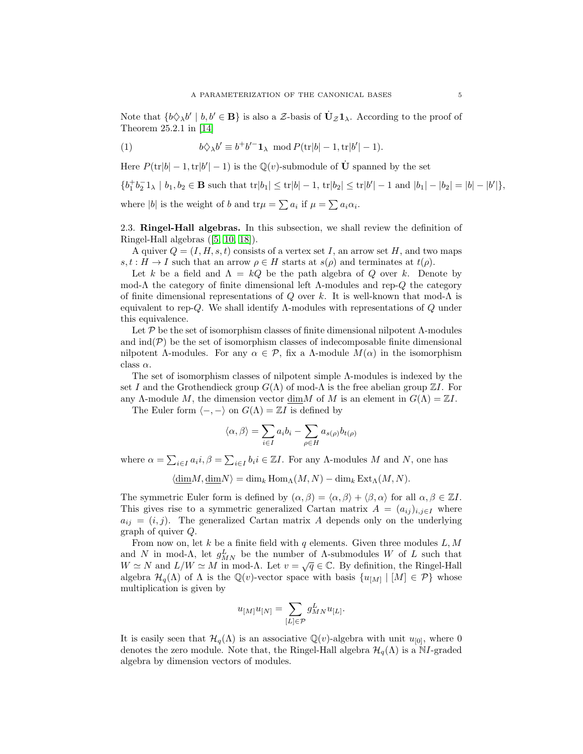<span id="page-4-0"></span>Note that  $\{b\Diamond_{\lambda} b' \mid b, b' \in \mathbf{B}\}\$ is also a Z-basis of  $\dot{\mathbf{U}}_{\mathcal{Z}}\mathbf{1}_{\lambda}$ . According to the proof of Theorem 25.2.1 in [\[14\]](#page-21-4)

(1) 
$$
b\Diamond_{\lambda}b' \equiv b^{+}b'^{-}\mathbf{1}_{\lambda} \mod P(\mathrm{tr}|b| - 1, \mathrm{tr}|b'| - 1).
$$

Here  $P(\text{tr}|b| - 1, \text{tr}|b'| - 1)$  is the  $\mathbb{Q}(v)$ -submodule of  $\dot{\mathbf{U}}$  spanned by the set

$$
\{b_1^+b_2^-\mathbb{1}_{\lambda} \mid b_1, b_2 \in \mathbf{B} \text{ such that } \text{tr}|b_1| \leq \text{tr}|b| - 1, \, \text{tr}|b_2| \leq \text{tr}|b'| - 1 \text{ and } |b_1| - |b_2| = |b| - |b'|\},
$$

where |b| is the weight of b and  $\text{tr}\mu = \sum a_i$  if  $\mu = \sum a_i \alpha_i$ .

2.3. Ringel-Hall algebras. In this subsection, we shall review the definition of Ringel-Hall algebras ([\[5,](#page-21-15) [10,](#page-21-1) [18\]](#page-21-16)).

A quiver  $Q = (I, H, s, t)$  consists of a vertex set I, an arrow set H, and two maps  $s, t : H \to I$  such that an arrow  $\rho \in H$  starts at  $s(\rho)$  and terminates at  $t(\rho)$ .

Let k be a field and  $\Lambda = kQ$  be the path algebra of Q over k. Denote by mod-Λ the category of finite dimensional left  $\Lambda$ -modules and rep-Q the category of finite dimensional representations of Q over k. It is well-known that mod- $\Lambda$  is equivalent to rep-Q. We shall identify Λ-modules with representations of Q under this equivalence.

Let  $\mathcal P$  be the set of isomorphism classes of finite dimensional nilpotent  $\Lambda$ -modules and  $\text{ind}(\mathcal{P})$  be the set of isomorphism classes of indecomposable finite dimensional nilpotent Λ-modules. For any  $\alpha \in \mathcal{P}$ , fix a Λ-module  $M(\alpha)$  in the isomorphism class  $\alpha$ .

The set of isomorphism classes of nilpotent simple Λ-modules is indexed by the set I and the Grothendieck group  $G(\Lambda)$  of mod- $\Lambda$  is the free abelian group  $\mathbb{Z}I$ . For any Λ-module M, the dimension vector dimM of M is an element in  $G(\Lambda) = \mathbb{Z}I$ .

The Euler form  $\langle -, - \rangle$  on  $G(\Lambda) = \mathbb{Z}I$  is defined by

$$
\langle \alpha, \beta \rangle = \sum_{i \in I} a_i b_i - \sum_{\rho \in H} a_{s(\rho)} b_{t(\rho)}
$$

where  $\alpha = \sum_{i \in I} a_i i, \beta = \sum_{i \in I} b_i i \in \mathbb{Z}I$ . For any  $\Lambda$ -modules M and N, one has

 $\langle \underline{\dim}M, \underline{\dim}N \rangle = \dim_k \text{Hom}_{\Lambda}(M, N) - \dim_k \text{Ext}_{\Lambda}(M, N).$ 

The symmetric Euler form is defined by  $(\alpha, \beta) = \langle \alpha, \beta \rangle + \langle \beta, \alpha \rangle$  for all  $\alpha, \beta \in \mathbb{Z}I$ . This gives rise to a symmetric generalized Cartan matrix  $A = (a_{ij})_{i,j\in I}$  where  $a_{ij} = (i, j)$ . The generalized Cartan matrix A depends only on the underlying graph of quiver Q.

From now on, let  $k$  be a finite field with  $q$  elements. Given three modules  $L, M$ and N in mod- $\Lambda$ , let  $g_{MN}^L$  be the number of  $\Lambda$ -submodules W of L such that  $W \simeq N$  and  $L/W \simeq M$  in mod- $\Lambda$ . Let  $v = \sqrt{q} \in \mathbb{C}$ . By definition, the Ringel-Hall algebra  $\mathcal{H}_q(\Lambda)$  of  $\Lambda$  is the  $\mathbb{Q}(v)$ -vector space with basis  $\{u_{[M]} \mid [M] \in \mathcal{P}\}\$  whose multiplication is given by

$$
u_{[M]}u_{[N]} = \sum_{[L]\in\mathcal{P}} g^L_{MN}u_{[L]}.
$$

It is easily seen that  $\mathcal{H}_q(\Lambda)$  is an associative  $\mathbb{Q}(v)$ -algebra with unit  $u_{[0]}$ , where 0 denotes the zero module. Note that, the Ringel-Hall algebra  $\mathcal{H}_q(\Lambda)$  is a NI-graded algebra by dimension vectors of modules.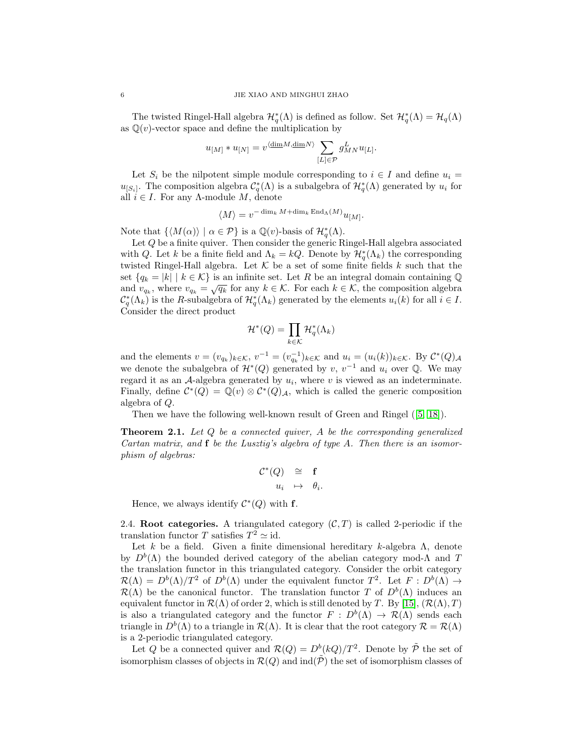The twisted Ringel-Hall algebra  $\mathcal{H}_q^*(\Lambda)$  is defined as follow. Set  $\mathcal{H}_q^*(\Lambda) = \mathcal{H}_q(\Lambda)$ as  $\mathbb{Q}(v)$ -vector space and define the multiplication by

$$
u_{[M]} * u_{[N]} = v^{\langle \underline{\dim} M, \underline{\dim} N \rangle} \sum_{[L] \in \mathcal{P}} g_{MN}^L u_{[L]}.
$$

Let  $S_i$  be the nilpotent simple module corresponding to  $i \in I$  and define  $u_i =$  $u_{[S_i]}$ . The composition algebra  $\mathcal{C}_q^*(\Lambda)$  is a subalgebra of  $\mathcal{H}_q^*(\Lambda)$  generated by  $u_i$  for all  $i \in I$ . For any  $\Lambda$ -module M, denote

$$
\langle M \rangle = v^{-\dim_k M + \dim_k \operatorname{End}_\Lambda(M)} u_{[M]}.
$$

Note that  $\{ \langle M(\alpha) \rangle \mid \alpha \in \mathcal{P} \}$  is a  $\mathbb{Q}(v)$ -basis of  $\mathcal{H}_q^*(\Lambda)$ .

Let Q be a finite quiver. Then consider the generic Ringel-Hall algebra associated with Q. Let k be a finite field and  $\Lambda_k = kQ$ . Denote by  $\mathcal{H}_q^*(\Lambda_k)$  the corresponding twisted Ringel-Hall algebra. Let  $K$  be a set of some finite fields k such that the set  $\{q_k = |k| \mid k \in \mathcal{K}\}\$ is an infinite set. Let R be an integral domain containing Q and  $v_{q_k} = |\kappa| |\kappa| \in \mathcal{K}_f$  is an immediate. Let  $\kappa$  be an integral domain containing  $\psi$  and  $v_{q_k}$ , where  $v_{q_k} = \sqrt{q_k}$  for any  $k \in \mathcal{K}$ . For each  $k \in \mathcal{K}$ , the composition algebra  $\mathcal{C}_q^*(\Lambda_k)$  is the R-subalgebra of  $\mathcal{H}_q^*(\Lambda_k)$  generated by the elements  $u_i(k)$  for all  $i \in I$ . Consider the direct product

$$
\mathcal{H}^*(Q) = \prod_{k \in \mathcal{K}} \mathcal{H}_q^*(\Lambda_k)
$$

and the elements  $v = (v_{q_k})_{k \in \mathcal{K}}, v^{-1} = (v_{q_k}^{-1})_{k \in \mathcal{K}}$  and  $u_i = (u_i(k))_{k \in \mathcal{K}}$ . By  $\mathcal{C}^*(Q)_{\mathcal{A}}$ we denote the subalgebra of  $\mathcal{H}^*(Q)$  generated by v,  $v^{-1}$  and  $u_i$  over Q. We may regard it as an  $A$ -algebra generated by  $u_i$ , where v is viewed as an indeterminate. Finally, define  $\mathcal{C}^*(Q) = \mathbb{Q}(v) \otimes \mathcal{C}^*(Q)_{\mathcal{A}}$ , which is called the generic composition algebra of Q.

Then we have the following well-known result of Green and Ringel ([\[5,](#page-21-15) [18\]](#page-21-16)).

**Theorem 2.1.** Let  $Q$  be a connected quiver,  $A$  be the corresponding generalized Cartan matrix, and  $f$  be the Lusztig's algebra of type A. Then there is an isomorphism of algebras:

$$
\begin{array}{rcl} \mathcal{C}^*(Q) & \cong & \mathbf{f} \\ & u_i & \mapsto & \theta_i. \end{array}
$$

Hence, we always identify  $\mathcal{C}^*(Q)$  with f.

2.4. Root categories. A triangulated category  $(C, T)$  is called 2-periodic if the translation functor T satisfies  $T^2 \simeq id$ .

Let k be a field. Given a finite dimensional hereditary k-algebra  $\Lambda$ , denote by  $D^b(\Lambda)$  the bounded derived category of the abelian category mod- $\Lambda$  and T the translation functor in this triangulated category. Consider the orbit category  $\mathcal{R}(\Lambda) = D^b(\Lambda)/T^2$  of  $D^b(\Lambda)$  under the equivalent functor  $T^2$ . Let  $F: D^b(\Lambda) \to$  $\mathcal{R}(\Lambda)$  be the canonical functor. The translation functor T of  $D^b(\Lambda)$  induces an equivalent functor in  $\mathcal{R}(\Lambda)$  of order 2, which is still denoted by T. By [\[15\]](#page-21-8),  $(\mathcal{R}(\Lambda), T)$ is also a triangulated category and the functor  $F : D^b(\Lambda) \to \mathcal{R}(\Lambda)$  sends each triangle in  $D^b(\Lambda)$  to a triangle in  $\mathcal{R}(\Lambda)$ . It is clear that the root category  $\mathcal{R} = \mathcal{R}(\Lambda)$ is a 2-periodic triangulated category.

Let Q be a connected quiver and  $\mathcal{R}(Q) = D^{b}(kQ)/T^{2}$ . Denote by  $\tilde{\mathcal{P}}$  the set of isomorphism classes of objects in  $\mathcal{R}(Q)$  and  $\text{ind}(\tilde{\mathcal{P}})$  the set of isomorphism classes of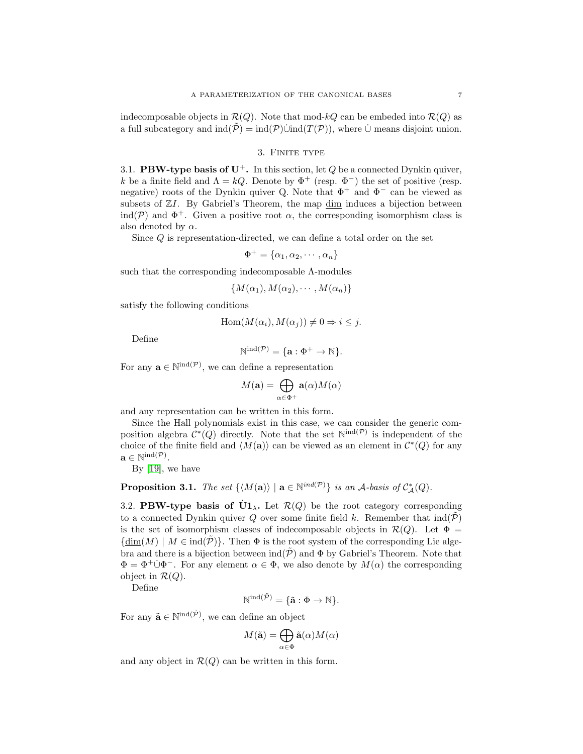indecomposable objects in  $\mathcal{R}(Q)$ . Note that mod-kQ can be embeded into  $\mathcal{R}(Q)$  as a full subcategory and  $\text{ind}(\tilde{\mathcal{P}}) = \text{ind}(\mathcal{P}) \cup \text{ind}(T(\mathcal{P}))$ , where  $\cup$  means disjoint union.

### 3. Finite type

3.1. **PBW-type basis of U<sup>+</sup>.** In this section, let  $Q$  be a connected Dynkin quiver, k be a finite field and  $\Lambda = kQ$ . Denote by  $\Phi^+$  (resp.  $\Phi^-$ ) the set of positive (resp. negative) roots of the Dynkin quiver Q. Note that  $\Phi^+$  and  $\Phi^-$  can be viewed as subsets of  $ZI$ . By Gabriel's Theorem, the map  $\dim$  induces a bijection between ind(P) and  $\Phi^+$ . Given a positive root  $\alpha$ , the corresponding isomorphism class is also denoted by  $\alpha$ .

Since Q is representation-directed, we can define a total order on the set

$$
\Phi^+ = \{\alpha_1, \alpha_2, \cdots, \alpha_n\}
$$

such that the corresponding indecomposable Λ-modules

$$
\{M(\alpha_1), M(\alpha_2), \cdots, M(\alpha_n)\}\
$$

satisfy the following conditions

$$
Hom(M(\alpha_i), M(\alpha_j)) \neq 0 \Rightarrow i \leq j.
$$

Define

$$
\mathbb{N}^{\mathrm{ind}(\mathcal{P})} = \{ \mathbf{a} : \Phi^+ \to \mathbb{N} \}.
$$

For any  $\mathbf{a} \in \mathbb{N}^{\text{ind}(\mathcal{P})}$ , we can define a representation

$$
M(\mathbf{a}) = \bigoplus_{\alpha \in \Phi^+} \mathbf{a}(\alpha) M(\alpha)
$$

and any representation can be written in this form.

Since the Hall polynomials exist in this case, we can consider the generic composition algebra  $\mathcal{C}^*(Q)$  directly. Note that the set  $\mathbb{N}^{\text{ind}(\mathcal{P})}$  is independent of the choice of the finite field and  $\langle M(\mathbf{a})\rangle$  can be viewed as an element in  $\mathcal{C}^*(Q)$  for any  $\mathbf{a} \in \mathbb{N}^{\text{ind}(\mathcal{P})}.$ 

By [\[19\]](#page-21-17), we have

**Proposition 3.1.** The set  $\{M(\mathbf{a})\mid \mathbf{a} \in \mathbb{N}^{ind(\mathcal{P})}\}\$ is an A-basis of  $\mathcal{C}_{\mathcal{A}}^{*}(Q)$ .

3.2. PBW-type basis of  $\dot{U}1_{\lambda}$ . Let  $\mathcal{R}(Q)$  be the root category corresponding to a connected Dynkin quiver Q over some finite field k. Remember that  $\text{ind}(\tilde{\mathcal{P}})$ is the set of isomorphism classes of indecomposable objects in  $\mathcal{R}(Q)$ . Let  $\Phi =$  ${\dim(M) \mid M \in \text{ind}(\mathcal{P})}$ . Then  $\Phi$  is the root system of the corresponding Lie algebra and there is a bijection between  $\text{ind}(\mathcal{P})$  and  $\Phi$  by Gabriel's Theorem. Note that  $\Phi = \Phi^+ \dot{\cup} \Phi^-$ . For any element  $\alpha \in \Phi$ , we also denote by  $M(\alpha)$  the corresponding object in  $\mathcal{R}(Q)$ .

Define

$$
\mathbb{N}^{\mathrm{ind}(\tilde{\mathcal{P}})} = \{\tilde{\mathbf{a}} : \Phi \to \mathbb{N}\}.
$$

For any  $\tilde{\mathbf{a}} \in \mathbb{N}^{\text{ind}(\tilde{\mathcal{P}})}$ , we can define an object

$$
M(\tilde{\mathbf{a}}) = \bigoplus_{\alpha \in \Phi} \tilde{\mathbf{a}}(\alpha) M(\alpha)
$$

and any object in  $\mathcal{R}(Q)$  can be written in this form.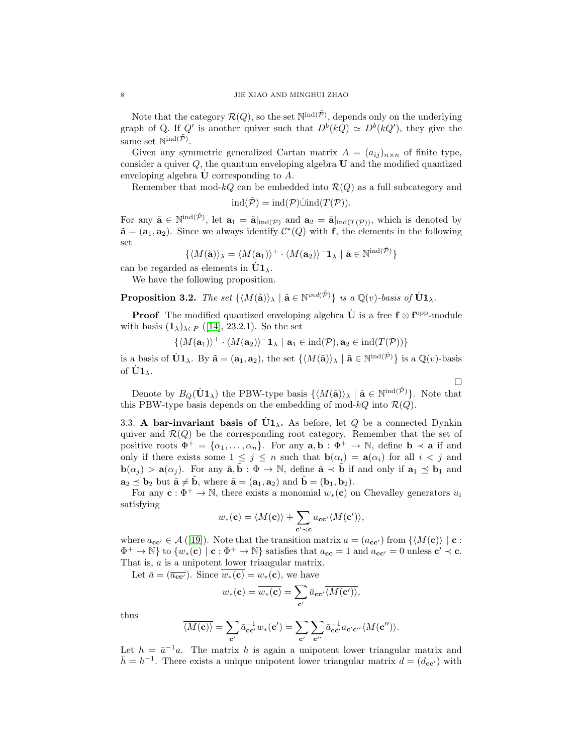Note that the category  $\mathcal{R}(Q)$ , so the set  $\mathbb{N}^{\text{ind}(\tilde{\mathcal{P}})}$ , depends only on the underlying graph of Q. If Q' is another quiver such that  $D^{b}(kQ) \simeq D^{b}(kQ')$ , they give the same set  $\mathbb{N}^{\text{ind}(\tilde{\mathcal{P}})}$ .

Given any symmetric generalized Cartan matrix  $A = (a_{ij})_{n \times n}$  of finite type, consider a quiver  $Q$ , the quantum enveloping algebra  $U$  and the modified quantized enveloping algebra  **corresponding to**  $A$ **.** 

Remember that mod- $kQ$  can be embedded into  $\mathcal{R}(Q)$  as a full subcategory and

$$
ind(\tilde{\mathcal{P}}) = ind(\mathcal{P})\dot{\cup} ind(T(\mathcal{P})).
$$

For any  $\tilde{\mathbf{a}} \in \mathbb{N}^{\text{ind}(\tilde{\mathcal{P}})}$ , let  $\mathbf{a}_1 = \tilde{\mathbf{a}}|_{\text{ind}(\mathcal{P})}$  and  $\mathbf{a}_2 = \tilde{\mathbf{a}}|_{\text{ind}(T(\mathcal{P}))}$ , which is denoted by  $\tilde{\mathbf{a}} = (\mathbf{a}_1, \mathbf{a}_2)$ . Since we always identify  $\mathcal{C}^*(Q)$  with f, the elements in the following set

$$
\{\langle M(\tilde{\mathbf{a}}) \rangle_{\lambda} = \langle M(\mathbf{a}_1) \rangle^+ \cdot \langle M(\mathbf{a}_2) \rangle^- \mathbf{1}_{\lambda} \ | \ \tilde{\mathbf{a}} \in \mathbb{N}^{\text{ind}(\tilde{\mathcal{P}})} \}
$$

can be regarded as elements in  $\dot{U}1_{\lambda}$ .

We have the following proposition.

**Proposition 3.2.** The set  $\{ \langle M(\tilde{\mathbf{a}}) \rangle_{\lambda} \mid \tilde{\mathbf{a}} \in \mathbb{N}^{ind(\tilde{\mathcal{P}})} \}$  is a  $\mathbb{Q}(v)$ -basis of  $\dot{\mathbf{U}} \mathbf{1}_{\lambda}$ .

**Proof** The modified quantized enveloping algebra  $\dot{\mathbf{U}}$  is a free  $\mathbf{f} \otimes \mathbf{f}^{\text{opp}}$ -module with basis  $(1_\lambda)_{\lambda \in P}$  ([\[14\]](#page-21-4), 23.2.1). So the set

 $\{ \langle M(\mathbf{a}_1) \rangle^+ \cdot \langle M(\mathbf{a}_2) \rangle^- \mathbf{1}_{\lambda} \mid \mathbf{a}_1 \in \text{ind}(\mathcal{P}), \mathbf{a}_2 \in \text{ind}(T(\mathcal{P})) \}$ 

is a basis of  $\dot{U}1_\lambda$ . By  $\tilde{\mathbf{a}} = (\mathbf{a}_1, \mathbf{a}_2)$ , the set  $\{ \langle M(\tilde{\mathbf{a}}) \rangle_\lambda \mid \tilde{\mathbf{a}} \in \mathbb{N}^{\text{ind}(\tilde{\mathcal{P}})} \}$  is a  $\mathbb{Q}(v)$ -basis of  $\dot{\mathbf{U}}\mathbf{1}_{\lambda}$ .

Denote by  $B_Q(\dot{U}1_\lambda)$  the PBW-type basis  $\{M(\tilde{a})\}_\lambda | \tilde{a} \in \mathbb{N}^{\text{ind}(\tilde{P})}\$ . Note that this PBW-type basis depends on the embedding of mod- $kQ$  into  $\mathcal{R}(Q)$ .

 $\Box$ 

3.3. A bar-invariant basis of  $\dot{U}1_{\lambda}$ . As before, let Q be a connected Dynkin quiver and  $\mathcal{R}(Q)$  be the corresponding root category. Remember that the set of positive roots  $\Phi^+ = {\alpha_1, ..., \alpha_n}$ . For any  $\mathbf{a}, \mathbf{b} : \Phi^+ \to \mathbb{N}$ , define  $\mathbf{b} \prec \mathbf{a}$  if and only if there exists some  $1 \leq j \leq n$  such that  $\mathbf{b}(\alpha_i) = \mathbf{a}(\alpha_i)$  for all  $i < j$  and  $\mathbf{b}(\alpha_i) > \mathbf{a}(\alpha_i)$ . For any  $\tilde{\mathbf{a}}, \tilde{\mathbf{b}} : \Phi \to \mathbb{N}$ , define  $\tilde{\mathbf{a}} \prec \tilde{\mathbf{b}}$  if and only if  $\mathbf{a}_1 \preceq \mathbf{b}_1$  and  $\mathbf{a}_2 \preceq \mathbf{b}_2$  but  $\tilde{\mathbf{a}} \neq \tilde{\mathbf{b}}$ , where  $\tilde{\mathbf{a}} = (\mathbf{a}_1, \mathbf{a}_2)$  and  $\tilde{\mathbf{b}} = (\mathbf{b}_1, \mathbf{b}_2)$ .

For any  $c : \Phi^+ \to \mathbb{N}$ , there exists a monomial  $w_*(c)$  on Chevalley generators  $u_i$ satisfying

$$
w_*(\mathbf{c}) = \langle M(\mathbf{c}) \rangle + \sum_{\mathbf{c}' \prec \mathbf{c}} a_{\mathbf{c}\mathbf{c}'} \langle M(\mathbf{c}') \rangle,
$$

where  $a_{cc'} \in \mathcal{A}([19])$  $a_{cc'} \in \mathcal{A}([19])$  $a_{cc'} \in \mathcal{A}([19])$ . Note that the transition matrix  $a = (a_{cc'})$  from  $\{M(c)\}\mid c$ :  $\Phi^+ \to \mathbb{N}$  to  $\{w_* (\mathbf{c}) \mid \mathbf{c} : \Phi^+ \to \mathbb{N} \}$  satisfies that  $a_{\mathbf{c}\mathbf{c}} = 1$  and  $a_{\mathbf{c}\mathbf{c}'} = 0$  unless  $\mathbf{c'} \prec \mathbf{c}$ . That is, a is a unipotent lower triangular matrix.

Let  $\bar{a} = (\overline{a_{cc'}})$ . Since  $w_*(c) = w_*(c)$ , we have

$$
w_{*}(\mathbf{c}) = \overline{w_{*}(\mathbf{c})} = \sum_{\mathbf{c}'} \overline{a_{\mathbf{c}\mathbf{c}'} \langle M(\mathbf{c}')\rangle},
$$

thus

$$
\overline{\langle M(\mathbf{c}) \rangle} = \sum_{\mathbf{c}'} \bar{a}_{\mathbf{c}\mathbf{c}'}^{-1} w_*(\mathbf{c}') = \sum_{\mathbf{c}'} \sum_{\mathbf{c}''} \bar{a}_{\mathbf{c}\mathbf{c}'}^{-1} a_{\mathbf{c}'\mathbf{c}''} \langle M(\mathbf{c}'') \rangle.
$$

Let  $h = \bar{a}^{-1}a$ . The matrix h is again a unipotent lower triangular matrix and  $\bar{h} = h^{-1}$ . There exists a unique unipotent lower triangular matrix  $d = (d_{\mathbf{cc'}})$  with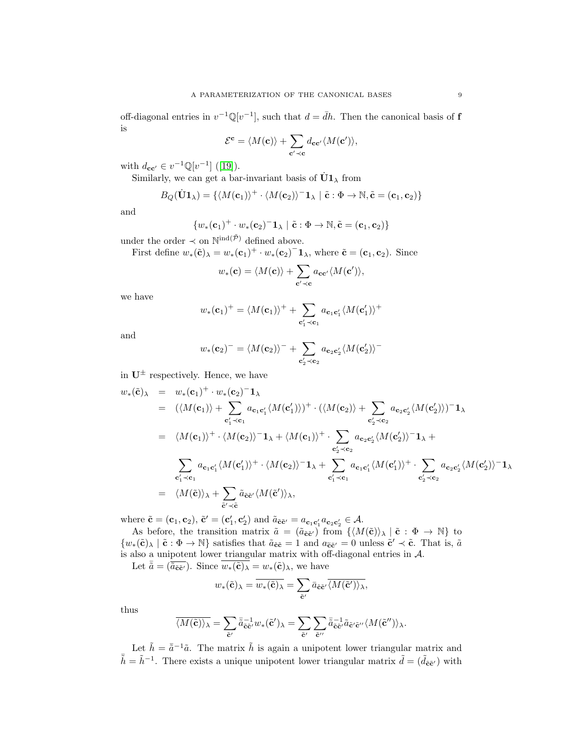off-diagonal entries in  $v^{-1}\mathbb{Q}[v^{-1}]$ , such that  $d = \bar{d}h$ . Then the canonical basis of f is

$$
\mathcal{E}^{\mathbf{c}} = \langle M(\mathbf{c}) \rangle + \sum_{\mathbf{c'} \prec \mathbf{c}} d_{\mathbf{c}\mathbf{c'}} \langle M(\mathbf{c'}) \rangle,
$$

with  $d_{cc'} \in v^{-1} \mathbb{Q}[v^{-1}]$  ([\[19\]](#page-21-17)).

Similarly, we can get a bar-invariant basis of  $\dot{U}1_{\lambda}$  from

$$
B_Q(\dot{\mathbf{U}}\mathbf{1}_{\lambda}) = \{ \langle M(\mathbf{c}_1) \rangle^+ \cdot \langle M(\mathbf{c}_2) \rangle^- \mathbf{1}_{\lambda} \mid \tilde{\mathbf{c}} : \Phi \to \mathbb{N}, \tilde{\mathbf{c}} = (\mathbf{c}_1, \mathbf{c}_2) \}
$$

and

$$
\{w_*(\mathbf{c}_1)^+ \cdot w_*(\mathbf{c}_2)^- \mathbf{1}_{\lambda} \mid \tilde{\mathbf{c}} : \Phi \to \mathbb{N}, \tilde{\mathbf{c}} = (\mathbf{c}_1, \mathbf{c}_2)\}
$$

under the order  $\prec$  on  $\mathbb{N}^{\text{ind}(\tilde{\mathcal{P}})}$  defined above.

First define  $w_*(\tilde{\mathbf{c}})_{\lambda} = w_*(\mathbf{c}_1)^+ \cdot w_*(\mathbf{c}_2)^{-} \mathbf{1}_{\lambda}$ , where  $\tilde{\mathbf{c}} = (\mathbf{c}_1, \mathbf{c}_2)$ . Since

$$
w_*(\mathbf{c}) = \langle M(\mathbf{c}) \rangle + \sum_{\mathbf{c'} \prec \mathbf{c}} a_{\mathbf{c}\mathbf{c'}} \langle M(\mathbf{c'}) \rangle,
$$

we have

$$
w_*(\mathbf{c}_1)^+ = \langle M(\mathbf{c}_1) \rangle^+ + \sum_{\mathbf{c}'_1 \prec \mathbf{c}_1} a_{\mathbf{c}_1 \mathbf{c}'_1} \langle M(\mathbf{c}'_1) \rangle^+
$$

and

$$
w_{*}(\mathbf{c}_{2})^{-} = \langle M(\mathbf{c}_{2})\rangle^{-} + \sum_{\mathbf{c}_{2}'\prec\mathbf{c}_{2}} a_{\mathbf{c}_{2}\mathbf{c}_{2}'} \langle M(\mathbf{c}_{2}')\rangle^{-}
$$

in  $U^{\pm}$  respectively. Hence, we have

$$
w_{*}(\tilde{\mathbf{c}})_{\lambda} = w_{*}(\mathbf{c}_{1})^{+} \cdot w_{*}(\mathbf{c}_{2})^{-} \mathbf{1}_{\lambda}
$$
  
\n
$$
= (\langle M(\mathbf{c}_{1}) \rangle + \sum_{\mathbf{c}_{1}^{\prime} \prec \mathbf{c}_{1}} a_{\mathbf{c}_{1} \mathbf{c}_{1}^{\prime}} \langle M(\mathbf{c}_{1}^{\prime}) \rangle)^{+} \cdot (\langle M(\mathbf{c}_{2}) \rangle + \sum_{\mathbf{c}_{2}^{\prime} \prec \mathbf{c}_{2}} a_{\mathbf{c}_{2} \mathbf{c}_{2}^{\prime}} \langle M(\mathbf{c}_{2}^{\prime}) \rangle)^{-} \mathbf{1}_{\lambda}
$$
  
\n
$$
= \langle M(\mathbf{c}_{1}) \rangle^{+} \cdot \langle M(\mathbf{c}_{2}) \rangle^{-} \mathbf{1}_{\lambda} + \langle M(\mathbf{c}_{1}) \rangle^{+} \cdot \sum_{\mathbf{c}_{2}^{\prime} \prec \mathbf{c}_{2}} a_{\mathbf{c}_{2} \mathbf{c}_{2}^{\prime}} \langle M(\mathbf{c}_{2}^{\prime}) \rangle^{-} \mathbf{1}_{\lambda} + \sum_{\mathbf{c}_{1}^{\prime} \prec \mathbf{c}_{1}} a_{\mathbf{c}_{1} \mathbf{c}_{1}^{\prime}} \langle M(\mathbf{c}_{2}^{\prime}) \rangle^{+} \cdot \langle M(\mathbf{c}_{2}) \rangle^{-} \mathbf{1}_{\lambda} + \sum_{\mathbf{c}_{1}^{\prime} \prec \mathbf{c}_{1}} a_{\mathbf{c}_{1} \mathbf{c}_{1}^{\prime}} \langle M(\mathbf{c}_{1}^{\prime}) \rangle^{+} \cdot \sum_{\mathbf{c}_{2}^{\prime} \prec \mathbf{c}_{2}} a_{\mathbf{c}_{2} \mathbf{c}_{2}^{\prime}} \langle M(\mathbf{c}_{2}^{\prime}) \rangle^{-} \mathbf{1}_{\lambda}
$$
  
\n
$$
= \langle M(\tilde{\mathbf{c}}) \rangle_{\lambda} + \sum_{\tilde{\mathbf{c}}^{\prime} \prec \tilde{\mathbf{c}}} \tilde{a}_{\tilde{\mathbf{c}} \tilde{\mathbf{c}}} \langle M(\tilde{\mathbf{c}}^{\prime}) \rangle_{\lambda},
$$

where  $\tilde{\mathbf{c}} = (\mathbf{c}_1, \mathbf{c}_2), \tilde{\mathbf{c}}' = (\mathbf{c}'_1, \mathbf{c}'_2)$  and  $\tilde{a}_{\tilde{\mathbf{c}}\tilde{\mathbf{c}}'} = a_{\mathbf{c}_1\mathbf{c}'_1}a_{\mathbf{c}_2\mathbf{c}'_2} \in \mathcal{A}$ .

As before, the transition matrix  $\tilde{a} = (\tilde{a}_{\tilde{c}\tilde{c}'} )$  from  $\{ \langle M(\tilde{c}) \rangle_{\lambda} | \tilde{c} : \Phi \to \mathbb{N} \}$  to  $\{w_*(\tilde{\mathbf{c}})_{\lambda} \mid \tilde{\mathbf{c}} : \Phi \to \mathbb{N}\}$  satisfies that  $\tilde{a}_{\tilde{\mathbf{c}}\tilde{\mathbf{c}}} = 1$  and  $a_{\tilde{\mathbf{c}}\tilde{\mathbf{c}}'} = 0$  unless  $\tilde{\mathbf{c}}' \prec \tilde{\mathbf{c}}$ . That is,  $\tilde{a}$ is also a unipotent lower triangular matrix with off-diagonal entries in  $A$ .

Let  $\bar{\tilde{a}} = (\tilde{a}_{\tilde{\mathbf{c}}\tilde{\mathbf{c}}}).$  Since  $\overline{w_*(\tilde{\mathbf{c}})_\lambda} = w_*(\tilde{\mathbf{c}})_\lambda$ , we have

$$
w_*(\tilde{\mathbf{c}})_{\lambda} = \overline{w_*(\tilde{\mathbf{c}})_{\lambda}} = \sum_{\tilde{\mathbf{c}}'} \overline{a}_{\tilde{\mathbf{c}}\tilde{\mathbf{c}}'} \overline{\langle M(\tilde{\mathbf{c}}') \rangle_{\lambda}},
$$

thus

$$
\overline{\langle M(\tilde{\mathbf{c}})\rangle_{\lambda}}=\sum_{\tilde{\mathbf{c}}'}\bar{\tilde{a}}_{\tilde{\mathbf{c}}\tilde{\mathbf{c}}}^{-1}w_{*}(\tilde{\mathbf{c}}')_{\lambda}=\sum_{\tilde{\mathbf{c}}'}\sum_{\tilde{\mathbf{c}}''}\bar{\tilde{a}}_{\tilde{\mathbf{c}}\tilde{\mathbf{c}}}^{-1}\tilde{a}_{\tilde{\mathbf{c}}'\tilde{\mathbf{c}}}''\langle M(\tilde{\mathbf{c}}'')\rangle_{\lambda}.
$$

Let  $\tilde{h} = \bar{\tilde{a}}^{-1}\tilde{a}$ . The matrix  $\tilde{h}$  is again a unipotent lower triangular matrix and  $\tilde{\hbar} = \tilde{h}^{-1}$ . There exists a unique unipotent lower triangular matrix  $\tilde{d} = (\tilde{d}_{\tilde{c}\tilde{c}'} )$  with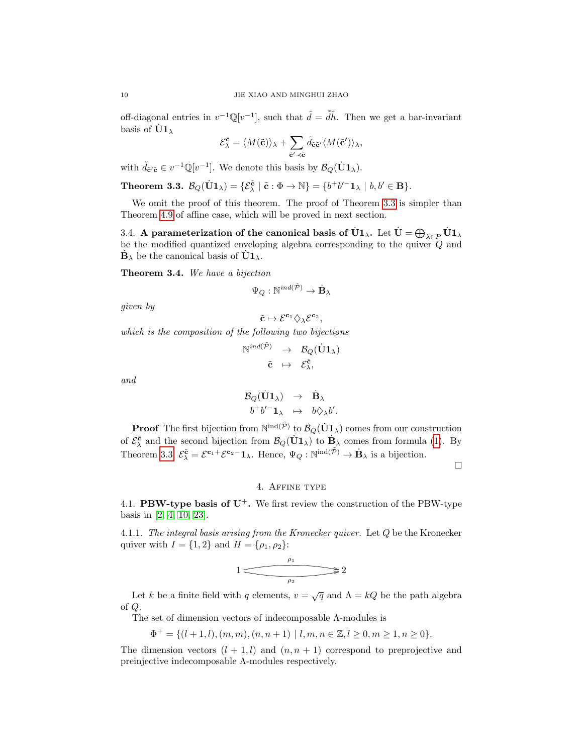off-diagonal entries in  $v^{-1}\mathbb{Q}[v^{-1}]$ , such that  $\tilde{d} = \tilde{d}\tilde{h}$ . Then we get a bar-invariant basis of  $\dot{\text{U}}1_{\lambda}$ 

$$
\mathcal{E}^{\tilde{\mathbf{c}}}_{\lambda} = \langle M(\tilde{\mathbf{c}}) \rangle_{\lambda} + \sum_{\tilde{\mathbf{c}}' \prec \tilde{\mathbf{c}}} \tilde{d}_{\tilde{\mathbf{c}} \tilde{\mathbf{c}}'} \langle M(\tilde{\mathbf{c}}') \rangle_{\lambda},
$$

with  $\tilde{d}_{\tilde{\mathbf{c}}'\tilde{\mathbf{c}}} \in v^{-1}\mathbb{Q}[v^{-1}]$ . We denote this basis by  $\mathcal{B}_Q(\dot{\mathbf{U}}\mathbf{1}_{\lambda})$ .

<span id="page-9-0"></span>**Theorem 3.3.** 
$$
\mathcal{B}_Q(\dot{\mathbf{U}}\mathbf{1}_{\lambda}) = \{ \mathcal{E}_{\lambda}^{\tilde{\mathbf{c}}} \mid \tilde{\mathbf{c}} : \Phi \to \mathbb{N} \} = \{ b^+b'^- \mathbf{1}_{\lambda} \mid b, b' \in \mathbf{B} \}.
$$

We omit the proof of this theorem. The proof of Theorem [3.3](#page-9-0) is simpler than Theorem [4.9](#page-18-0) of affine case, which will be proved in next section.

3.4. A parameterization of the canonical basis of  $\dot{U}1_\lambda$ . Let  $\dot{U}=\bigoplus_{\lambda\in P}\dot{U}1_\lambda$ be the modified quantized enveloping algebra corresponding to the quiver  $\overline{Q}$  and  $\dot{\mathbf{B}}_{\lambda}$  be the canonical basis of  $\dot{\mathbf{U}}\mathbf{1}_{\lambda}$ .

Theorem 3.4. We have a bijection

$$
\Psi_Q:\mathbb{N}^{ind(\tilde{\mathcal{P}})}\rightarrow \dot{\mathbf{B}}_\lambda
$$

given by

$$
\tilde{\mathbf{c}}\mapsto \mathcal{E}^{\mathbf{c}_1}\diamondsuit_{\lambda}\mathcal{E}^{\mathbf{c}_2},
$$

which is the composition of the following two bijections

$$
\begin{array}{ccc}\mathbb{N}^{ind(\tilde{\cal P})}&\to&\mathcal{B}_{Q}(\dot{{\bf U}}{\bf 1}_{\lambda})\\ &\tilde{\textbf{c}}&\mapsto&\mathcal{E}^{\tilde{\textbf{c}}}_{\lambda},\\ \end{array}
$$

and

$$
\begin{array}{ccc}\mathcal{B}_{Q}(\dot{\mathbf{U}}\mathbf{1}_{\lambda})&\to&\dot{\mathbf{B}}_{\lambda}\\b^{+}b'^{-}\mathbf{1}_{\lambda}&\mapsto&b\Diamond_{\lambda}b'.\end{array}
$$

**Proof** The first bijection from  $\mathbb{N}^{\text{ind}(\tilde{\mathcal{P}})}$  to  $\mathcal{B}_{Q}(\dot{\mathbf{U}}1_{\lambda})$  comes from our construction of  $\mathcal{E}_{\lambda}^{\tilde{\mathbf{c}}}$  and the second bijection from  $\mathcal{B}_{Q}(\mathbf{U1}_{\lambda})$  to  $\mathbf{B}_{\lambda}$  comes from formula [\(1\)](#page-4-0). By Theorem [3.3,](#page-9-0)  $\mathcal{E}_{\lambda}^{\tilde{\mathbf{c}}} = \mathcal{E}^{\mathbf{c}_1 +} \mathcal{E}^{\mathbf{c}_2 -} \mathbf{1}_{\lambda}$ . Hence,  $\Psi_Q : \mathbb{N}^{\text{ind}(\tilde{\mathcal{P}})} \to \dot{\mathbf{B}}_{\lambda}$  is a bijection.

 $\Box$ 

## 4. Affine type

<span id="page-9-2"></span>4.1. **PBW-type basis of U<sup>+</sup>.** We first review the construction of the PBW-type basis in [\[2,](#page-20-1) [4,](#page-21-18) [10,](#page-21-1) [23\]](#page-21-19).

<span id="page-9-1"></span>4.1.1. The integral basis arising from the Kronecker quiver. Let  $Q$  be the Kronecker quiver with  $I = \{1, 2\}$  and  $H = \{\rho_1, \rho_2\}$ :

$$
1 \xrightarrow{\rho_1} 2
$$

Let k be a finite field with q elements,  $v = \sqrt{q}$  and  $\Lambda = kQ$  be the path algebra of Q.

The set of dimension vectors of indecomposable Λ-modules is

$$
\Phi^+ = \{(l+1,l),(m,m),(n,n+1) \mid l,m,n \in \mathbb{Z}, l \geq 0, m \geq 1, n \geq 0\}.
$$

The dimension vectors  $(l + 1, l)$  and  $(n, n + 1)$  correspond to preprojective and preinjective indecomposable Λ-modules respectively.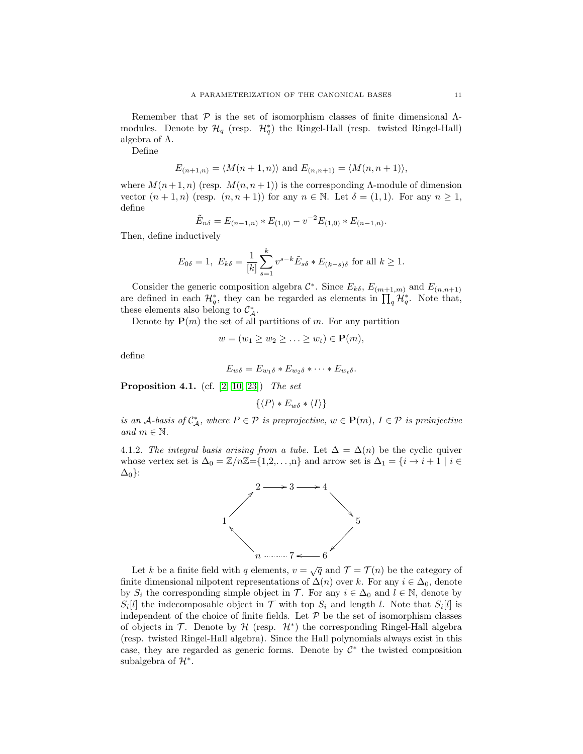Remember that  $\mathcal P$  is the set of isomorphism classes of finite dimensional  $\Lambda$ modules. Denote by  $\mathcal{H}_q$  (resp.  $\mathcal{H}_q^*$ ) the Ringel-Hall (resp. twisted Ringel-Hall) algebra of  $\Lambda$ .

Define

$$
E_{(n+1,n)} = \langle M(n+1,n) \rangle \text{ and } E_{(n,n+1)} = \langle M(n,n+1) \rangle,
$$

where  $M(n+1,n)$  (resp.  $M(n, n+1)$ ) is the corresponding  $\Lambda$ -module of dimension vector  $(n+1, n)$  (resp.  $(n, n+1)$ ) for any  $n \in \mathbb{N}$ . Let  $\delta = (1, 1)$ . For any  $n \ge 1$ , define

$$
\tilde{E}_{n\delta} = E_{(n-1,n)} * E_{(1,0)} - v^{-2} E_{(1,0)} * E_{(n-1,n)}.
$$

Then, define inductively

$$
E_{0\delta} = 1
$$
,  $E_{k\delta} = \frac{1}{[k]} \sum_{s=1}^{k} v^{s-k} \tilde{E}_{s\delta} * E_{(k-s)\delta}$  for all  $k \ge 1$ .

Consider the generic composition algebra  $\mathcal{C}^*$ . Since  $E_{k\delta}$ ,  $E_{(m+1,m)}$  and  $E_{(n,n+1)}$ are defined in each  $\mathcal{H}_q^*$ , they can be regarded as elements in  $\prod_q \mathcal{H}_q^*$ . Note that, these elements also belong to  $\mathcal{C}_{\mathcal{A}}^*$ .

Denote by  $P(m)$  the set of all partitions of m. For any partition

$$
w = (w_1 \ge w_2 \ge \ldots \ge w_t) \in \mathbf{P}(m),
$$

define

$$
E_{w\delta}=E_{w_1\delta}*E_{w_2\delta}*\cdots*E_{w_t\delta}.
$$

**Proposition 4.1.** (cf.  $[2, 10, 23]$  $[2, 10, 23]$  $[2, 10, 23]$ ) The set

 $\{\langle P\rangle * E_{w\delta} * \langle I\rangle\}$ 

is an A-basis of  $\mathcal{C}_{\mathcal{A}}^*$ , where  $P \in \mathcal{P}$  is preprojective,  $w \in \mathbf{P}(m)$ ,  $I \in \mathcal{P}$  is preinjective and  $m \in \mathbb{N}$ .

<span id="page-10-0"></span>4.1.2. The integral basis arising from a tube. Let  $\Delta = \Delta(n)$  be the cyclic quiver whose vertex set is  $\Delta_0 = \mathbb{Z}/n\mathbb{Z} = \{1,2,\ldots,n\}$  and arrow set is  $\Delta_1 = \{i \to i+1 \mid i \in \mathbb{Z}\}$  $\Delta_0$ :



Let k be a finite field with q elements,  $v = \sqrt{q}$  and  $\mathcal{T} = \mathcal{T}(n)$  be the category of finite dimensional nilpotent representations of  $\Delta(n)$  over k. For any  $i \in \Delta_0$ , denote by  $S_i$  the corresponding simple object in  $\mathcal{T}$ . For any  $i \in \Delta_0$  and  $l \in \mathbb{N}$ , denote by  $S_i[l]$  the indecomposable object in  $\mathcal T$  with top  $S_i$  and length l. Note that  $S_i[l]$  is independent of the choice of finite fields. Let  $P$  be the set of isomorphism classes of objects in  $\mathcal T$ . Denote by  $\mathcal H$  (resp.  $\mathcal H^*$ ) the corresponding Ringel-Hall algebra (resp. twisted Ringel-Hall algebra). Since the Hall polynomials always exist in this case, they are regarded as generic forms. Denote by  $\mathcal{C}^*$  the twisted composition subalgebra of  $\mathcal{H}^*$ .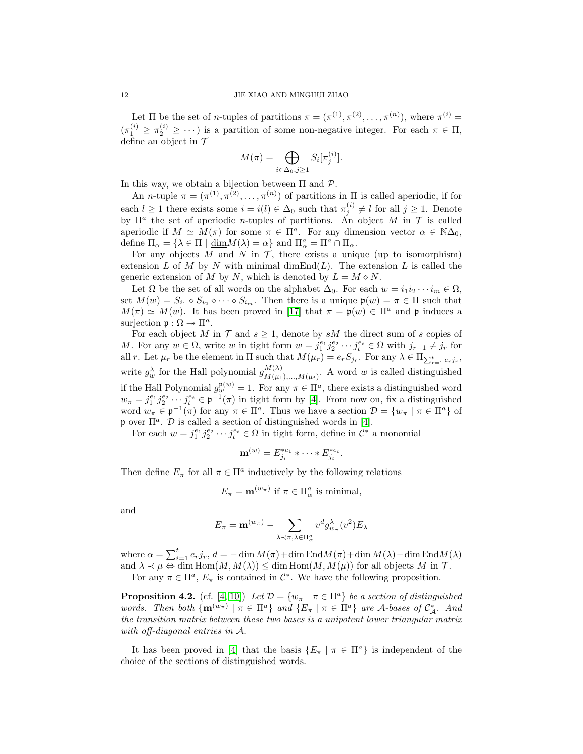Let  $\Pi$  be the set of *n*-tuples of partitions  $\pi = (\pi^{(1)}, \pi^{(2)}, \ldots, \pi^{(n)})$ , where  $\pi^{(i)}$  $(\pi_1^{(i)} \geq \pi_2^{(i)} \geq \cdots)$  is a partition of some non-negative integer. For each  $\pi \in \Pi$ , define an object in  $\mathcal T$ 

$$
M(\pi) = \bigoplus_{i \in \Delta_0, j \ge 1} S_i[\pi_j^{(i)}].
$$

In this way, we obtain a bijection between  $\Pi$  and  $\mathcal{P}$ .

An *n*-tuple  $\pi = (\pi^{(1)}, \pi^{(2)}, \dots, \pi^{(n)})$  of partitions in  $\Pi$  is called aperiodic, if for each  $l \geq 1$  there exists some  $i = i(l) \in \Delta_0$  such that  $\pi_j^{(i)} \neq l$  for all  $j \geq 1$ . Denote by  $\Pi^a$  the set of aperiodic *n*-tuples of partitions. An object M in T is called aperiodic if  $M \simeq M(\pi)$  for some  $\pi \in \Pi^a$ . For any dimension vector  $\alpha \in \mathbb{N}\Delta_0$ , define  $\Pi_{\alpha} = {\lambda \in \Pi | \underline{\dim} M(\lambda) = \alpha}$  and  $\Pi_{\alpha}^a = \Pi^a \cap \Pi_{\alpha}$ .

For any objects M and N in  $\mathcal T$ , there exists a unique (up to isomorphism) extension L of M by N with minimal dimEnd $(L)$ . The extension L is called the generic extension of M by N, which is denoted by  $L = M \diamond N$ .

Let  $\Omega$  be the set of all words on the alphabet  $\Delta_0$ . For each  $w = i_1 i_2 \cdots i_m \in \Omega$ , set  $M(w) = S_{i_1} \diamond S_{i_2} \diamond \cdots \diamond S_{i_m}$ . Then there is a unique  $\mathfrak{p}(w) = \pi \in \Pi$  such that  $M(\pi) \simeq M(w)$ . It has been proved in [\[17\]](#page-21-20) that  $\pi = \mathfrak{p}(w) \in \Pi^a$  and p induces a surjection  $\mathfrak{p}: \Omega \to \Pi^a$ .

For each object M in  $\mathcal T$  and  $s \geq 1$ , denote by sM the direct sum of s copies of M. For any  $w \in \Omega$ , write w in tight form  $w = j_1^{e_1} j_2^{e_2} \cdots j_t^{e_t} \in \Omega$  with  $j_{r-1} \neq j_r$  for all r. Let  $\mu_r$  be the element in  $\Pi$  such that  $M(\mu_r) = e_r S_{j_r}$ . For any  $\lambda \in \Pi_{\sum_{r=1}^t e_r j_r}$ , write  $g_w^{\lambda}$  for the Hall polynomial  $g_{M(\mu_1)}^{M(\lambda)}$  $M(\lambda)$ <br> $M(\mu_1),...,M(\mu_t)$ . A word w is called distinguished if the Hall Polynomial  $g_w^{\mathfrak{p}(w)} = 1$ . For any  $\pi \in \Pi^a$ , there exists a distinguished word  $w_{\pi} = j_1^{e_1} j_2^{e_2} \cdots j_t^{e_t} \in \mathfrak{p}^{-1}(\pi)$  in tight form by [\[4\]](#page-21-18). From now on, fix a distinguished word  $w_{\pi} \in \mathfrak{p}^{-1}(\pi)$  for any  $\pi \in \Pi^a$ . Thus we have a section  $\mathcal{D} = \{w_{\pi} \mid \pi \in \Pi^a\}$  of p over  $\Pi^a$ . D is called a section of distinguished words in [\[4\]](#page-21-18).

For each  $w = j_1^{e_1} j_2^{e_2} \cdots j_t^{e_t} \in \Omega$  in tight form, define in  $\mathcal{C}^*$  a monomial

$$
\mathbf{m}^{(w)}=E_{j_i}^{*e_1}*\cdots* E_{j_t}^{*e_t}.
$$

Then define  $E_{\pi}$  for all  $\pi \in \Pi^a$  inductively by the following relations

$$
E_{\pi} = \mathbf{m}^{(w_{\pi})} \text{ if } \pi \in \Pi_{\alpha}^{a} \text{ is minimal,}
$$

and

$$
E_{\pi} = \mathbf{m}^{(w_{\pi})} - \sum_{\lambda \prec \pi, \lambda \in \Pi_{\alpha}^{a}} v^{d} g_{w_{\pi}}^{\lambda}(v^{2}) E_{\lambda}
$$

where  $\alpha = \sum_{i=1}^{t} e_r j_r$ ,  $d = -\dim M(\pi) + \dim \text{End}M(\pi) + \dim M(\lambda) - \dim \text{End}M(\lambda)$ and  $\lambda \prec \mu \Leftrightarrow \dim \text{Hom}(M, M(\lambda)) \leq \dim \text{Hom}(M, M(\mu))$  for all objects M in T. For any  $\pi \in \Pi^a$ ,  $E_{\pi}$  is contained in  $\mathcal{C}^*$ . We have the following proposition.

**Proposition 4.2.** (cf. [\[4,](#page-21-18) [10\]](#page-21-1)) Let  $\mathcal{D} = \{w_{\pi} \mid \pi \in \Pi^a\}$  be a section of distinguished words. Then both  $\{\mathbf{m}^{(w_{\pi})} \mid \pi \in \Pi^a\}$  and  $\{E_{\pi} \mid \pi \in \Pi^a\}$  are A-bases of  $\mathcal{C}_{\mathcal{A}}^*$ . And the transition matrix between these two bases is a unipotent lower triangular matrix with off-diagonal entries in A.

It has been proved in [\[4\]](#page-21-18) that the basis  $\{E_\pi \mid \pi \in \Pi^a\}$  is independent of the choice of the sections of distinguished words.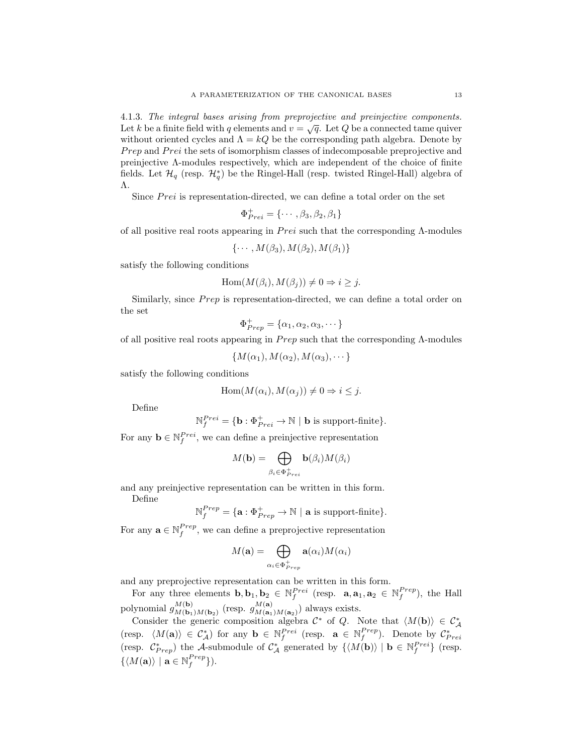<span id="page-12-0"></span>4.1.3. The integral bases arising from preprojective and preinjective components. **EXALCT THE INTEGRAL ORDER IS A FINITE FIGHTER CONFIDENT**  $v = \sqrt{q}$ . Let Q be a connected tame quiver without oriented cycles and  $\Lambda = kQ$  be the corresponding path algebra. Denote by Prep and Prei the sets of isomorphism classes of indecomposable preprojective and preinjective Λ-modules respectively, which are independent of the choice of finite fields. Let  $\mathcal{H}_q$  (resp.  $\mathcal{H}_q^*$ ) be the Ringel-Hall (resp. twisted Ringel-Hall) algebra of Λ.

Since  $Prei$  is representation-directed, we can define a total order on the set

$$
\Phi^+_{Prei} = \{\cdots, \beta_3, \beta_2, \beta_1\}
$$

of all positive real roots appearing in  $Prei$  such that the corresponding  $\Lambda$ -modules

$$
\{\cdots, M(\beta_3), M(\beta_2), M(\beta_1)\}\
$$

satisfy the following conditions

$$
Hom(M(\beta_i), M(\beta_j)) \neq 0 \Rightarrow i \geq j.
$$

Similarly, since *Prep* is representation-directed, we can define a total order on the set

$$
\Phi_{Prep}^+ = \{\alpha_1, \alpha_2, \alpha_3, \cdots\}
$$

of all positive real roots appearing in  $Prep$  such that the corresponding  $\Lambda$ -modules

 $\{M(\alpha_1), M(\alpha_2), M(\alpha_3), \cdots\}$ 

satisfy the following conditions

$$
Hom(M(\alpha_i), M(\alpha_j)) \neq 0 \Rightarrow i \leq j.
$$

Define

$$
\mathbb{N}_f^{Prei} = \{ \mathbf{b} : \Phi_{Prei}^+ \to \mathbb{N} \mid \mathbf{b} \text{ is support-finite} \}.
$$

For any  $\mathbf{b} \in \mathbb{N}^{Prei}_f$ , we can define a preinjective representation

$$
M(\mathbf{b}) = \bigoplus_{\beta_i \in \Phi_{Prei}^+} \mathbf{b}(\beta_i) M(\beta_i)
$$

and any preinjective representation can be written in this form. Define

$$
\mathbb{N}_f^{Prep} = \{\mathbf{a} : \Phi_{Prep}^+ \rightarrow \mathbb{N} \ | \ \mathbf{a} \text{ is support-finite}\}.
$$

For any  $\mathbf{a} \in \mathbb{N}_f^{Prep}$ , we can define a preprojective representation

$$
M(\mathbf{a}) = \bigoplus_{\alpha_i \in \Phi_{Prep}^+} \mathbf{a}(\alpha_i) M(\alpha_i)
$$

and any preprojective representation can be written in this form.

For any three elements  $\mathbf{b}, \mathbf{b}_1, \mathbf{b}_2 \in \mathbb{N}_f^{Prei}$  (resp.  $\mathbf{a}, \mathbf{a}_1, \mathbf{a}_2 \in \mathbb{N}_f^{Prep}$ ), the Hall polynomial  $g_{M(\mathbf{b})}^{M(\mathbf{b})}$  $\frac{M(\mathbf{b})}{M(\mathbf{b}_1)M(\mathbf{b}_2)}$  (resp.  $g\frac{M(\mathbf{a})}{M(\mathbf{a}_1)}$  $\binom{M(\mathbf{a})}{M(\mathbf{a}_1)M(\mathbf{a}_2)}$  always exists.

Consider the generic composition algebra  $\mathcal{C}^*$  of Q. Note that  $\langle M(\mathbf{b})\rangle \in \mathcal{C}^*_{\mathcal{A}}$ (resp.  $\langle M(\mathbf{a}) \rangle \in C^*_{\mathcal{A}}$ ) for any  $\mathbf{b} \in \mathbb{N}_{f}^{Prei}$  (resp.  $\mathbf{a} \in \mathbb{N}_{f}^{Prep}$ ). Denote by  $C^*_{Prei}$ (resp.  $\mathcal{C}^*_{Prep}$ ) the A-submodule of  $\mathcal{C}^*_{\mathcal{A}}$  generated by  $\{ \langle M(\mathbf{b}) \rangle \mid \mathbf{b} \in \mathbb{N}_f^{Prei} \}$  (resp.  $\{ \langle M(\mathbf{a}) \rangle \mid \mathbf{a} \in \mathbb{N}_f^{Prep} \}$ ).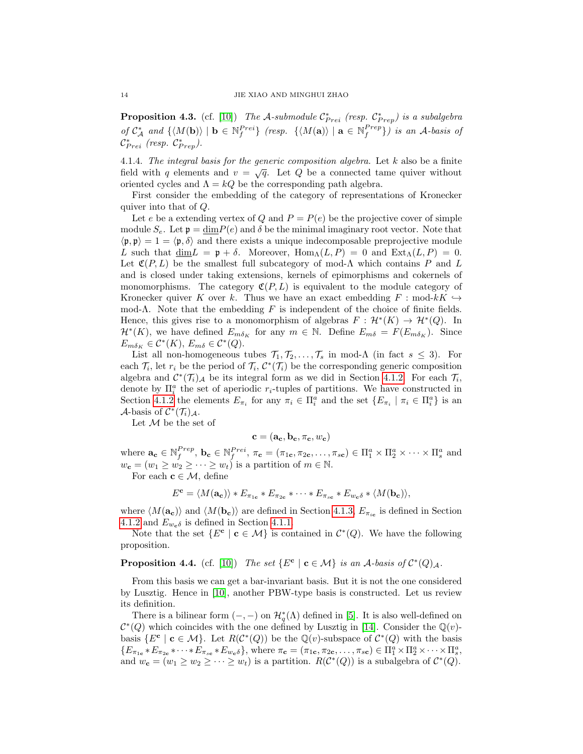**Proposition 4.3.** (cf. [\[10\]](#page-21-1)) The A-submodule  $\mathcal{C}_{Prei}^*$  (resp.  $\mathcal{C}_{Prep}^*$ ) is a subalgebra of  $C_A^*$  and  $\{M(\mathbf{b})\}\,|\,\mathbf{b}\in\mathbb{N}_f^{Prei}\}\$  (resp.  $\{M(\mathbf{a})\}\,|\,\mathbf{a}\in\mathbb{N}_f^{Prep}\}\)$  is an A-basis of  $\mathcal{C}_{Prei}^*$  (resp.  $\mathcal{C}_{Prep}^*$ ).

4.1.4. The integral basis for the generic composition algebra. Let  $k$  also be a finite field with q elements and  $v = \sqrt{q}$ . Let Q be a connected tame quiver without oriented cycles and  $\Lambda = kQ$  be the corresponding path algebra.

First consider the embedding of the category of representations of Kronecker quiver into that of Q.

Let e be a extending vertex of Q and  $P = P(e)$  be the projective cover of simple module  $S_e$ . Let  $\mathfrak{p} = \dim P(e)$  and  $\delta$  be the minimal imaginary root vector. Note that  $\langle \mathfrak{p}, \mathfrak{p} \rangle = 1 = \langle \mathfrak{p}, \delta \rangle$  and there exists a unique indecomposable preprojective module L such that dim  $L = \mathfrak{p} + \delta$ . Moreover,  $\text{Hom}_{\Lambda}(L, P) = 0$  and  $\text{Ext}_{\Lambda}(L, P) = 0$ . Let  $\mathfrak{C}(P, L)$  be the smallest full subcategory of mod- $\Lambda$  which contains P and L and is closed under taking extensions, kernels of epimorphisms and cokernels of monomorphisms. The category  $\mathfrak{C}(P, L)$  is equivalent to the module category of Kronecker quiver K over k. Thus we have an exact embedding  $F : \text{mod-}kK \hookrightarrow$ mod- $\Lambda$ . Note that the embedding F is independent of the choice of finite fields. Hence, this gives rise to a monomorphism of algebras  $F: \mathcal{H}^*(K) \to \mathcal{H}^*(Q)$ . In  $\mathcal{H}^*(K)$ , we have defined  $E_{m\delta_K}$  for any  $m \in \mathbb{N}$ . Define  $E_{m\delta} = F(E_{m\delta_K})$ . Since  $E_{m\delta_K} \in C^*(K)$ ,  $E_{m\delta} \in C^*(Q)$ .

List all non-homogeneous tubes  $\mathcal{T}_1, \mathcal{T}_2, \ldots, \mathcal{T}_s$  in mod- $\Lambda$  (in fact  $s \leq 3$ ). For each  $\mathcal{T}_i$ , let  $r_i$  be the period of  $\mathcal{T}_i$ ,  $\mathcal{C}^*(\mathcal{T}_i)$  be the corresponding generic composition algebra and  $\mathcal{C}^*(\mathcal{T}_i)$  be its integral form as we did in Section [4.1.2.](#page-10-0) For each  $\mathcal{T}_i$ , denote by  $\Pi_i^a$  the set of aperiodic  $r_i$ -tuples of partitions. We have constructed in Section [4.1.2](#page-10-0) the elements  $E_{\pi_i}$  for any  $\pi_i \in \Pi_i^a$  and the set  $\{E_{\pi_i} \mid \pi_i \in \Pi_i^a\}$  is an A-basis of  $C^*(\mathcal{T}_i)_{\mathcal{A}}$ .

Let  $M$  be the set of

$$
\mathbf{c} = (\mathbf{a_c}, \mathbf{b_c}, \pi_{\mathbf{c}}, w_{\mathbf{c}})
$$

where  $\mathbf{a_c} \in \mathbb{N}_f^{Prep}, \mathbf{b_c} \in \mathbb{N}_f^{Prei}, \pi_{\mathbf{c}} = (\pi_{1\mathbf{c}}, \pi_{2\mathbf{c}}, \dots, \pi_{s\mathbf{c}}) \in \Pi_1^a \times \Pi_2^a \times \dots \times \Pi_s^a$  and  $w_{\mathbf{c}} = (w_1 \geq w_2 \geq \cdots \geq w_t)$  is a partition of  $m \in \mathbb{N}$ .

For each  $\mathbf{c} \in \mathcal{M}$ , define

$$
E^{\mathbf{c}} = \langle M(\mathbf{a}_{\mathbf{c}}) \rangle * E_{\pi_{1\mathbf{c}}} * E_{\pi_{2\mathbf{c}}} * \cdots * E_{\pi_{s\mathbf{c}}} * E_{w_{\mathbf{c}}\delta} * \langle M(\mathbf{b}_{\mathbf{c}}) \rangle,
$$

where  $\langle M(\mathbf{a_c})\rangle$  and  $\langle M(\mathbf{b_c})\rangle$  are defined in Section [4.1.3,](#page-12-0)  $E_{\pi_{ic}}$  is defined in Section [4.1.2](#page-10-0) and  $E_{w_c\delta}$  is defined in Section [4.1.1.](#page-9-1)

Note that the set  $\{E^c \mid c \in \mathcal{M}\}\$ is contained in  $\mathcal{C}^*(Q)$ . We have the following proposition.

**Proposition 4.4.** (cf. [\[10\]](#page-21-1)) The set  $\{E^{\mathbf{c}} \mid \mathbf{c} \in \mathcal{M}\}\$ is an A-basis of  $\mathcal{C}^*(Q)_{\mathcal{A}}$ .

From this basis we can get a bar-invariant basis. But it is not the one considered by Lusztig. Hence in [\[10\]](#page-21-1), another PBW-type basis is constructed. Let us review its definition.

There is a bilinear form  $(-, -)$  on  $\mathcal{H}_q^*(\Lambda)$  defined in [\[5\]](#page-21-15). It is also well-defined on  $\mathcal{C}^*(Q)$  which coincides with the one defined by Lusztig in [\[14\]](#page-21-4). Consider the  $\mathbb{Q}(v)$ basis  $\{E^c \mid c \in \mathcal{M}\}\$ . Let  $R(\mathcal{C}^*(Q))$  be the  $\mathbb{Q}(v)$ -subspace of  $\mathcal{C}^*(Q)$  with the basis  ${E_{\pi_{1c}} * E_{\pi_{2c}} * \cdots * E_{\pi_{sc}} * E_{w_c \delta}}$ , where  $\pi_c = (\pi_{1c}, \pi_{2c}, \ldots, \pi_{sc}) \in \Pi_1^a \times \Pi_2^a \times \cdots \times \Pi_s^a$ , and  $w_{\mathbf{c}} = (w_1 \geq w_2 \geq \cdots \geq w_t)$  is a partition.  $R(\mathcal{C}^*(Q))$  is a subalgebra of  $\mathcal{C}^*(Q)$ .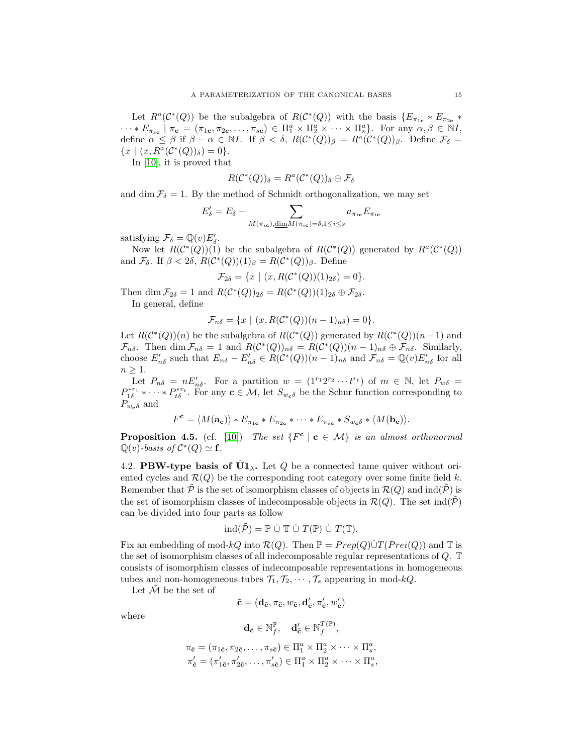Let  $R^a(\mathcal{C}^*(Q))$  be the subalgebra of  $R(\mathcal{C}^*(Q))$  with the basis  $\{E_{\pi_{1c}} * E_{\pi_{2c}} *$  $\cdots * E_{\pi_{sc}} \mid \pi_{\mathbf{c}} = (\pi_{1\mathbf{c}}, \pi_{2\mathbf{c}}, \ldots, \pi_{sc}) \in \Pi_1^a \times \Pi_2^a \times \cdots \times \Pi_s^a$ . For any  $\alpha, \beta \in \mathbb{N}I$ , define  $\alpha \leq \beta$  if  $\beta - \alpha \in \mathbb{N}I$ . If  $\beta < \delta$ ,  $R(\mathcal{C}^*(Q))_{\beta} = R^{\alpha}(\mathcal{C}^*(Q))_{\beta}$ . Define  $\mathcal{F}_{\delta} =$  ${x \mid (x, R^a(C^*(Q))_{\delta}) = 0}.$ 

In [\[10\]](#page-21-1), it is proved that

$$
R(\mathcal{C}^*(Q))_{\delta} = R^a(\mathcal{C}^*(Q))_{\delta} \oplus \mathcal{F}_{\delta}
$$

and dim  $\mathcal{F}_{\delta} = 1$ . By the method of Schmidt orthogonalization, we may set

$$
E'_{\delta} = E_{\delta} - \sum_{M(\pi_{i\mathbf{c}}), \underline{\dim} M(\pi_{i\mathbf{c}}) = \delta, 1 \le i \le s} a_{\pi_{i\mathbf{c}}} E_{\pi_{i\mathbf{c}}}
$$

satisfying  $\mathcal{F}_{\delta} = \mathbb{Q}(v) E'_{\delta}$ .

Now let  $R(\mathcal{C}^*(Q))(1)$  be the subalgebra of  $R(\mathcal{C}^*(Q))$  generated by  $R^a(\mathcal{C}^*(Q))$ and  $\mathcal{F}_{\delta}$ . If  $\beta < 2\delta$ ,  $R(\mathcal{C}^*(Q))(1)_{\beta} = R(\mathcal{C}^*(Q))_{\beta}$ . Define

$$
\mathcal{F}_{2\delta} = \{ x \mid (x, R(\mathcal{C}^*(Q))(1)_{2\delta}) = 0 \}.
$$

Then dim  $\mathcal{F}_{2\delta} = 1$  and  $R(\mathcal{C}^*(Q))_{2\delta} = R(\mathcal{C}^*(Q))(1)_{2\delta} \oplus \mathcal{F}_{2\delta}.$ In general, define

$$
\mathcal{F}_{n\delta} = \{x \mid (x, R(\mathcal{C}^*(Q))(n-1)_{n\delta}) = 0\}.
$$

Let  $R(\mathcal{C}^*(Q))(n)$  be the subalgebra of  $R(\mathcal{C}^*(Q))$  generated by  $R(\mathcal{C}^*(Q))(n-1)$  and  $\mathcal{F}_{n\delta}$ . Then dim  $\mathcal{F}_{n\delta} = 1$  and  $R(\mathcal{C}^*(Q))_{n\delta} = R(\mathcal{C}^*(Q))(n-1)_{n\delta} \oplus \mathcal{F}_{n\delta}$ . Similarly, choose  $E'_{n\delta}$  such that  $E_{n\delta} - E'_{n\delta} \in R(C^*(Q))(n-1)_{n\delta}$  and  $\mathcal{F}_{n\delta} = \mathbb{Q}(v)E'_{n\delta}$  for all  $n \geq 1$ .

Let  $P_{n\delta} = nE'_{n\delta}$ . For a partition  $w = (1^{r_1}2^{r_2} \cdots t^{r_t})$  of  $m \in \mathbb{N}$ , let  $P_{w\delta} =$  $P_{1\delta}^{*r_1} * \cdots * P_{t\delta}^{*r_t}$ . For any  $\mathbf{c} \in \mathcal{M}$ , let  $S_{w_{\mathbf{c}}\delta}$  be the Schur function corresponding to  $P_{w_c\delta}$  and

$$
F^{\mathbf{c}} = \langle M(\mathbf{a}_{\mathbf{c}}) \rangle * E_{\pi_{1\mathbf{c}}} * E_{\pi_{2\mathbf{c}}} * \cdots * E_{\pi_{s\mathbf{c}}} * S_{w_{\mathbf{c}}\delta} * \langle M(\mathbf{b}_{\mathbf{c}}) \rangle.
$$

<span id="page-14-0"></span>**Proposition 4.5.** (cf. [\[10\]](#page-21-1)) The set  $\{F^c \mid c \in \mathcal{M}\}$  is an almost orthonormal  $\mathbb{Q}(v)$ -basis of  $\mathcal{C}^*(Q) \simeq \mathbf{f}$ .

4.2. PBW-type basis of  $\dot{U}1_{\lambda}$ . Let Q be a connected tame quiver without oriented cycles and  $\mathcal{R}(Q)$  be the corresponding root category over some finite field k. Remember that  $\tilde{\mathcal{P}}$  is the set of isomorphism classes of objects in  $\mathcal{R}(Q)$  and  $\text{ind}(\tilde{\mathcal{P}})$  is the set of isomorphism classes of indecomposable objects in  $\mathcal{R}(Q)$ . The set  $\text{ind}(\tilde{\mathcal{P}})$ can be divided into four parts as follow

$$
\mathrm{ind}(\tilde{\mathcal{P}}) = \mathbb{P} \dot{\cup} \mathbb{T} \dot{\cup} T(\mathbb{P}) \dot{\cup} T(\mathbb{T}).
$$

Fix an embedding of mod-kQ into  $\mathcal{R}(Q)$ . Then  $\mathbb{P} = Prep(Q) \dot{\cup} T(Prei(Q))$  and  $\mathbb{T}$  is the set of isomorphism classes of all indecomposable regular representations of Q. T consists of isomorphism classes of indecomposable representations in homogeneous tubes and non-homogeneous tubes  $\mathcal{T}_1, \mathcal{T}_2, \cdots, \mathcal{T}_s$  appearing in mod-kQ.

Let  $\mathcal M$  be the set of

$$
\tilde{\mathbf{c}} = (\mathbf{d}_{\tilde{\mathbf{c}}}, \pi_{\tilde{\mathbf{c}}}, w_{\tilde{\mathbf{c}}}, \mathbf{d}_{\tilde{\mathbf{c}}}^\prime, \pi_{\tilde{\mathbf{c}}}^\prime, w_{\tilde{\mathbf{c}}}^\prime)
$$

where

$$
\mathbf{d}_{\tilde{\mathbf{c}}} \in \mathbb{N}_{f}^{\mathbb{P}}, \quad \mathbf{d}_{\tilde{\mathbf{c}}}^{\prime} \in \mathbb{N}_{f}^{T(\mathbb{P})},
$$

$$
\pi_{\tilde{\mathbf{c}}} = (\pi_{1\tilde{\mathbf{c}}}, \pi_{2\tilde{\mathbf{c}}}, \dots, \pi_{s\tilde{\mathbf{c}}}) \in \Pi_1^a \times \Pi_2^a \times \dots \times \Pi_s^a, \pi'_{\tilde{\mathbf{c}}} = (\pi'_{1\tilde{\mathbf{c}}}, \pi'_{2\tilde{\mathbf{c}}}, \dots, \pi'_{s\tilde{\mathbf{c}}}) \in \Pi_1^a \times \Pi_2^a \times \dots \times \Pi_s^a,
$$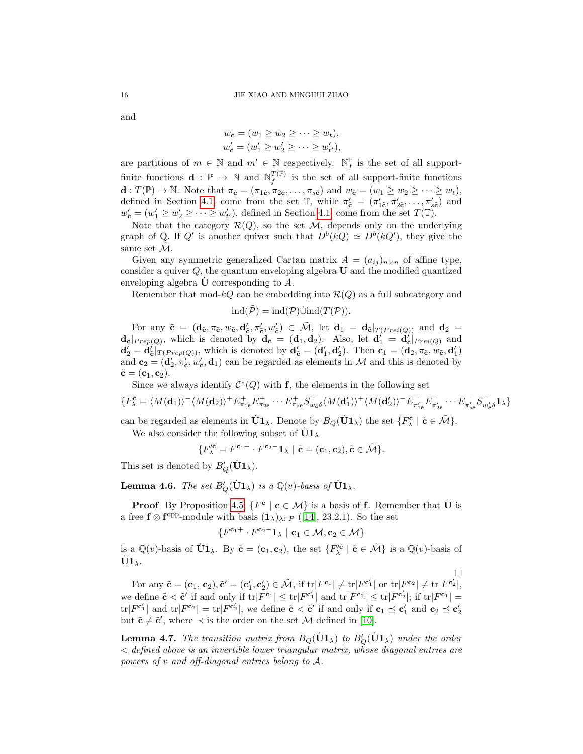and

$$
w_{\tilde{\mathbf{c}}} = (w_1 \ge w_2 \ge \cdots \ge w_t),
$$
  

$$
w_{\tilde{\mathbf{c}}} = (w_1' \ge w_2' \ge \cdots \ge w_{t'}'),
$$

are partitions of  $m \in \mathbb{N}$  and  $m' \in \mathbb{N}$  respectively.  $\mathbb{N}_{f}^{\mathbb{P}}$  is the set of all supportfinite functions  $\mathbf{d} : \mathbb{P} \to \mathbb{N}$  and  $\mathbb{N}_{f}^{T(\mathbb{P})}$  $f_f^{I(F)}$  is the set of all support-finite functions  $\mathbf{d}: T(\mathbb{P}) \to \mathbb{N}$ . Note that  $\pi_{\tilde{\mathbf{c}}} = (\pi_{1\tilde{\mathbf{c}}}, \pi_{2\tilde{\mathbf{c}}}, \ldots, \pi_{s\tilde{\mathbf{c}}})$  and  $w_{\tilde{\mathbf{c}}} = (w_1 \geq w_2 \geq \cdots \geq w_t)$ , defined in Section [4.1,](#page-9-2) come from the set  $\mathbb{T}$ , while  $\pi'_{\tilde{c}} = (\pi'_{1\tilde{c}}, \pi'_{2\tilde{c}}, \ldots, \pi'_{s\tilde{c}})$  and  $w_{\mathbf{c}}' = (w_1' \geq w_2' \geq \cdots \geq w_{t'}')$ , defined in Section [4.1,](#page-9-2) come from the set  $T(\mathbb{T})$ .

Note that the category  $\mathcal{R}(Q)$ , so the set  $\tilde{\mathcal{M}}$ , depends only on the underlying graph of Q. If Q' is another quiver such that  $D^{b}(kQ) \simeq D^{b}(kQ')$ , they give the same set  $\mathcal{M}$ .

Given any symmetric generalized Cartan matrix  $A = (a_{ij})_{n \times n}$  of affine type, consider a quiver  $Q$ , the quantum enveloping algebra  $U$  and the modified quantized enveloping algebra  **corresponding to**  $A$ **.** 

Remember that mod- $kQ$  can be embedding into  $\mathcal{R}(Q)$  as a full subcategory and

$$
ind(\tilde{\mathcal{P}}) = ind(\mathcal{P})\dot{\cup} ind(T(\mathcal{P})).
$$

For any  $\tilde{\mathbf{c}} = (\mathbf{d}_{\tilde{\mathbf{c}}}, \pi_{\tilde{\mathbf{c}}}, w_{\tilde{\mathbf{c}}}, \mathbf{d}'_{\tilde{\mathbf{c}}}, \pi'_{\tilde{\mathbf{c}}}, w'_{\tilde{\mathbf{c}}}) \in \tilde{\mathcal{M}}$ , let  $\mathbf{d}_1 = \mathbf{d}_{\tilde{\mathbf{c}}}|_{T(Prei(Q))}$  and  $\mathbf{d}_2 =$  $d_{\tilde{\mathbf{c}}}|_{Prep(Q)}$ , which is denoted by  $\mathbf{d}_{\tilde{\mathbf{c}}} = (\mathbf{d}_1, \mathbf{d}_2)$ . Also, let  $\mathbf{d}'_1 = \mathbf{d}'_{\tilde{\mathbf{c}}}|_{Prei(Q)}$  and  $\mathbf{d}'_2 = \hat{\mathbf{d}}'_{\mathbf{c}}|_{T(Prep(Q))}$ , which is denoted by  $\mathbf{d}'_{\mathbf{c}} = (\mathbf{d}'_1, \mathbf{d}'_2)$ . Then  $\mathbf{c}_1 = (\mathbf{d}_2, \pi_{\mathbf{c}}, \omega_{\mathbf{c}}, \mathbf{d}'_1)$ and  $\mathbf{c}_2 = (\mathbf{d}'_2, \pi'_{\tilde{\mathbf{c}}}, w'_{\tilde{\mathbf{c}}}, \mathbf{d}_1)$  can be regarded as elements in M and this is denoted by  $\tilde{\mathbf{c}} = (\mathbf{c}_1, \mathbf{c}_2).$ 

Since we always identify  $\mathcal{C}^*(Q)$  with f, the elements in the following set

$$
\{F^{\tilde{\mathbf{c}}}_{\lambda} = \langle M(\mathbf{d}_1) \rangle^{-} \langle M(\mathbf{d}_2) \rangle^{+} E^{+}_{\pi_{1\tilde{\mathbf{c}}}} E^{+}_{\pi_{2\tilde{\mathbf{c}}}} \cdots E^{+}_{\pi_{s\tilde{\mathbf{c}}}} S^{+}_{w_{\tilde{\mathbf{c}}}} \langle M(\mathbf{d}'_1) \rangle^{+} \langle M(\mathbf{d}'_2) \rangle^{-} E^{-}_{\pi'_{1\tilde{\mathbf{c}}}} E^{-}_{\pi'_{2\tilde{\mathbf{c}}}} \cdots E^{-}_{\pi'_{s\tilde{\mathbf{c}}}} S^{-}_{w'_{\tilde{\mathbf{c}}}} \mathbf{1}_{\lambda} \}
$$

can be regarded as elements in  $\dot{\mathbf{U}}\mathbf{1}_{\lambda}$ . Denote by  $B_Q(\dot{\mathbf{U}}\mathbf{1}_{\lambda})$  the set  $\{F_{\lambda}^{\tilde{\mathbf{c}}} \mid \tilde{\mathbf{c}} \in \tilde{\mathcal{M}}\}$ .

We also consider the following subset of  $\dot{{\bf U}} {\bf 1}_{\lambda}$ 

$$
\{F_{\lambda}^{\prime \tilde{\mathbf{c}}}=F^{\mathbf{c}_1+}\cdot F^{\mathbf{c}_2-}\mathbf{1}_{\lambda}\mid \tilde{\mathbf{c}}=(\mathbf{c}_1,\mathbf{c}_2), \tilde{\mathbf{c}}\in \tilde{\mathcal{M}}\}.
$$

This set is denoted by  $B'_Q(\dot{U}1_\lambda)$ .

<span id="page-15-0"></span>**Lemma 4.6.** The set  $B_Q'(\dot{\mathbf{U}}1_\lambda)$  is a  $\mathbb{Q}(v)$ -basis of  $\dot{\mathbf{U}}1_\lambda$ .

**Proof** By Proposition [4.5,](#page-14-0)  $\{F^c \mid c \in \mathcal{M}\}\$ is a basis of **f**. Remember that  $\dot{\mathbf{U}}$  is a free  $f \otimes f^{\text{opp}}$ -module with basis  $(1_\lambda)_{\lambda \in P}$  ([\[14\]](#page-21-4), 23.2.1). So the set

$$
\{F^{\mathbf{c}_1 +} \cdot F^{\mathbf{c}_2 -} \mathbf{1}_{\lambda} \mid \mathbf{c}_1 \in \mathcal{M}, \mathbf{c}_2 \in \mathcal{M}\}
$$

is a  $\mathbb{Q}(v)$ -basis of  $\dot{\mathbf{U}}\mathbf{1}_{\lambda}$ . By  $\tilde{\mathbf{c}} = (\mathbf{c}_1, \mathbf{c}_2)$ , the set  $\{F'^{\tilde{\mathbf{c}}}_{\lambda} \mid \tilde{\mathbf{c}} \in \tilde{\mathcal{M}}\}$  is a  $\mathbb{Q}(v)$ -basis of  $\dot{\textbf U} \textbf{1}_{\lambda}$ .

 $\Box$ For any  $\tilde{\mathbf{c}} = (\mathbf{c}_1, \mathbf{c}_2), \tilde{\mathbf{c}}' = (\mathbf{c}'_1, \mathbf{c}'_2) \in \tilde{\mathcal{M}}$ , if  $\text{tr}|F^{\mathbf{c}_1}| \neq \text{tr}|F^{\mathbf{c}'_1}|$  or  $\text{tr}|F^{\mathbf{c}_2}| \neq \text{tr}|F^{\mathbf{c}'_2}|$ , we define  $\tilde{\mathbf{c}} < \tilde{\mathbf{c}}'$  if and only if  $\text{tr}|F^{\mathbf{c}_1}| \leq \text{tr}|F^{\mathbf{c}'_1}|$  and  $\text{tr}|F^{\mathbf{c}_2}| \leq \text{tr}|F^{\mathbf{c}'_2}|$ ; if  $\text{tr}|F^{\mathbf{c}_1}| =$  $\mathrm{tr}|F^{\mathbf{c}'_1}|$  and  $\mathrm{tr}|F^{\mathbf{c}_2}| = \mathrm{tr}|F^{\mathbf{c}'_2}|$ , we define  $\tilde{\mathbf{c}} < \tilde{\mathbf{c}}'$  if and only if  $\mathbf{c}_1 \preceq \mathbf{c}'_1$  and  $\mathbf{c}_2 \preceq \mathbf{c}'_2$ but  $\tilde{\mathbf{c}} \neq \tilde{\mathbf{c}}'$ , where  $\prec$  is the order on the set M defined in [\[10\]](#page-21-1).

<span id="page-15-1"></span>**Lemma 4.7.** The transition matrix from  $B_Q(\dot{\mathbf{U}}1_\lambda)$  to  $B_Q'(\dot{\mathbf{U}}1_\lambda)$  under the order < defined above is an invertible lower triangular matrix, whose diagonal entries are powers of v and off-diagonal entries belong to A.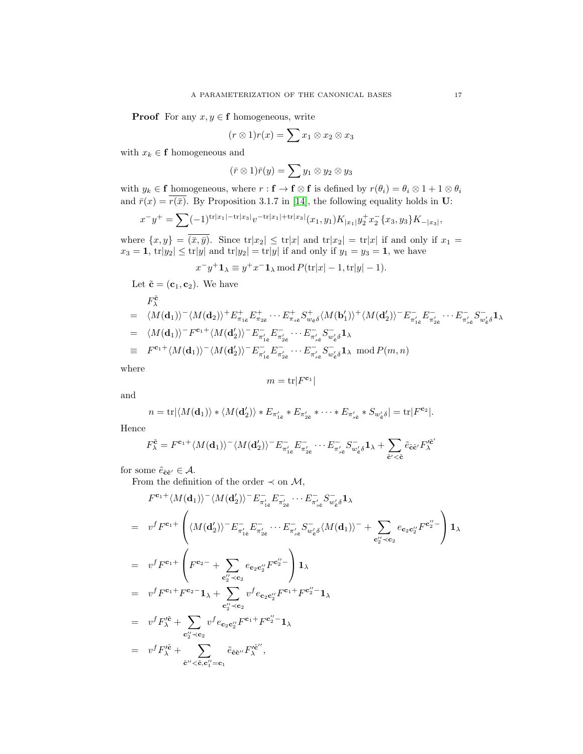**Proof** For any  $x, y \in \mathbf{f}$  homogeneous, write

$$
(r \otimes 1)r(x) = \sum x_1 \otimes x_2 \otimes x_3
$$

with  $x_k \in \mathbf{f}$  homogeneous and

$$
(\bar{r}\otimes 1)\bar{r}(y)=\sum y_1\otimes y_2\otimes y_3
$$

with  $y_k \in \mathbf{f}$  homogeneous, where  $r : \mathbf{f} \to \mathbf{f} \otimes \mathbf{f}$  is defined by  $r(\theta_i) = \theta_i \otimes 1 + 1 \otimes \theta_i$ and  $\bar{r}(x) = \overline{r(\bar{x})}$ . By Proposition 3.1.7 in [\[14\]](#page-21-4), the following equality holds in U:

$$
x^- y^+ = \sum (-1)^{\operatorname{tr} |x_1| - \operatorname{tr} |x_3|} v^{-\operatorname{tr} |x_1| + \operatorname{tr} |x_3|} (x_1, y_1) K_{|x_1|} y_2^+ x_2^- \{x_3, y_3\} K_{-|x_3|},
$$

where  $\{x,y\} = \overline{(\bar{x}, \bar{y})}$ . Since  $\text{tr}|x_2| \leq \text{tr}|x|$  and  $\text{tr}|x_2| = \text{tr}|x|$  if and only if  $x_1 =$  $x_3 = 1$ ,  $\text{tr}|y_2| \le \text{tr}|y|$  and  $\text{tr}|y_2| = \text{tr}|y|$  if and only if  $y_1 = y_3 = 1$ , we have

$$
x^{-}y^{+}\mathbf{1}_{\lambda} \equiv y^{+}x^{-}\mathbf{1}_{\lambda} \mod P(\mathrm{tr}|x| - 1, \mathrm{tr}|y| - 1).
$$

Let  $\tilde{\mathbf{c}} = (\mathbf{c}_1, \mathbf{c}_2)$ . We have

$$
F^{\tilde{\mathbf{c}}}_{\lambda} = \langle M(\mathbf{d}_{1}) \rangle^{-} \langle M(\mathbf{d}_{2}) \rangle^{+} E^{+}_{\pi_{1\tilde{\mathbf{c}}}} E^{+}_{\pi_{2\tilde{\mathbf{c}}}} \cdots E^{+}_{\pi_{s\tilde{\mathbf{c}}}} S^{+}_{w_{\tilde{\mathbf{c}}}} \langle M(\mathbf{b}'_{1}) \rangle^{+} \langle M(\mathbf{d}'_{2}) \rangle^{-} E^{-}_{\pi'_{1\tilde{\mathbf{c}}}} E^{-}_{\pi'_{2\tilde{\mathbf{c}}}} \cdots E^{-}_{\pi'_{s\tilde{\mathbf{c}}}} S^{-}_{w'_{\tilde{\mathbf{c}}}} \mathbf{1}_{\lambda}
$$
  
\n
$$
= \langle M(\mathbf{d}_{1}) \rangle^{-} F^{\mathbf{c}_{1}+} \langle M(\mathbf{d}'_{2}) \rangle^{-} E^{-}_{\pi'_{1\tilde{\mathbf{c}}}} E^{-}_{\pi'_{2\tilde{\mathbf{c}}}} \cdots E^{-}_{\pi'_{s\tilde{\mathbf{c}}}} S^{-}_{w'_{\tilde{\mathbf{c}}}} \mathbf{1}_{\lambda}
$$
  
\n
$$
= F^{\mathbf{c}_{1}+} \langle M(\mathbf{d}_{1}) \rangle^{-} \langle M(\mathbf{d}'_{2}) \rangle^{-} E^{-}_{\pi'_{1\tilde{\mathbf{c}}}} E^{-}_{\pi'_{2\tilde{\mathbf{c}}}} \cdots E^{-}_{\pi'_{s\tilde{\mathbf{c}}}} S^{-}_{w'_{\tilde{\mathbf{c}}}} \mathbf{1}_{\lambda} \mod P(m, n)
$$

where

$$
m = \text{tr}|F^{\mathbf{c}_1}|
$$

and

$$
n = \text{tr}|\langle M(\mathbf{d}_1)\rangle * \langle M(\mathbf{d}'_2)\rangle * E_{\pi'_{1\bar{\mathbf{c}}}} * E_{\pi'_{2\bar{\mathbf{c}}}} * \cdots * E_{\pi'_{s\bar{\mathbf{c}}}} * S_{w'_{\bar{\mathbf{c}}}}\delta| = \text{tr}|F^{\mathbf{c}_2}|.
$$

Hence

$$
F^{\tilde{\mathbf{c}}}_{\lambda}=F^{\mathbf{c}_1+}\langle M(\mathbf{d}_1)\rangle^-\langle M(\mathbf{d}'_2)\rangle^-E_{\pi'_{1\tilde{\mathbf{c}}}}^-E_{\pi'_{2\tilde{\mathbf{c}}}}^-\cdots E_{\pi'_{s\tilde{\mathbf{c}}}}^-S_{w'_{\tilde{\mathbf{c}}}\delta}^-{\mathbf{1}}_{\lambda}+\sum_{\tilde{\mathbf{c}}'\leq \tilde{\mathbf{c}}}\tilde{e}_{\tilde{\mathbf{c}}\tilde{\mathbf{c}}'}F^{\prime\tilde{\mathbf{c}}'}_{\lambda}
$$

for some  $\tilde{e}_{\tilde{\mathbf{c}}\tilde{\mathbf{c}}'}\in\mathcal{A}.$ 

From the definition of the order  $\prec$  on  $\mathcal{M}$ ,

$$
F^{\mathbf{c}_1 +} \langle M(\mathbf{d}_1) \rangle^{-} \langle M(\mathbf{d}'_2) \rangle^{-} E_{\pi'_{1\tilde{\mathbf{c}}}}^{-} E_{\pi'_{2\tilde{\mathbf{c}}}}^{-} \cdots E_{\pi'_{s\tilde{\mathbf{c}}}}^{-} S_{w'_{\tilde{\mathbf{c}}}\delta}^{-} \mathbf{1}_{\lambda}
$$
  
\n
$$
= v^f F^{\mathbf{c}_1 +} \left( \langle M(\mathbf{d}'_2) \rangle^{-} E_{\pi'_{1\tilde{\mathbf{c}}}}^{-} E_{\pi'_{2\tilde{\mathbf{c}}}}^{-} \cdots E_{\pi'_{s\tilde{\mathbf{c}}}}^{-} S_{w'_{\tilde{\mathbf{c}}}\delta}^{-} \langle M(\mathbf{d}_1) \rangle^{-} + \sum_{\mathbf{c}''_2 \prec \mathbf{c}_2} e_{\mathbf{c}_2 \mathbf{c}''_2} F^{\mathbf{c}''_2} \right) \mathbf{1}_{\lambda}
$$
  
\n
$$
= v^f F^{\mathbf{c}_1 +} \left( F^{\mathbf{c}_2 -} + \sum_{\mathbf{c}''_2 \prec \mathbf{c}_2} e_{\mathbf{c}_2 \mathbf{c}''_2} F^{\mathbf{c}''_2} \right) \mathbf{1}_{\lambda}
$$
  
\n
$$
= v^f F^{\mathbf{c}_1 +} F^{\mathbf{c}_2 -} \mathbf{1}_{\lambda} + \sum_{\mathbf{c}''_2 \prec \mathbf{c}_2} v^f e_{\mathbf{c}_2 \mathbf{c}''_2} F^{\mathbf{c}_1 +} F^{\mathbf{c}''_2 -} \mathbf{1}_{\lambda}
$$
  
\n
$$
= v^f F^{\prime \tilde{\mathbf{c}}}_{\lambda} + \sum_{\mathbf{c}''_2 \prec \mathbf{c}_2} v^f e_{\mathbf{c}_2 \mathbf{c}''_2} F^{\mathbf{c}_1 +} F^{\mathbf{c}''_2 -} \mathbf{1}_{\lambda}
$$
  
\n
$$
= v^f F^{\prime \tilde{\mathbf{c}}}_{\lambda} + \sum_{\tilde{\mathbf{c}}'' \prec \tilde{\mathbf{c}}_2} \tilde{e}_{\tilde{\mathbf{c}}} F^{\prime \tilde{\
$$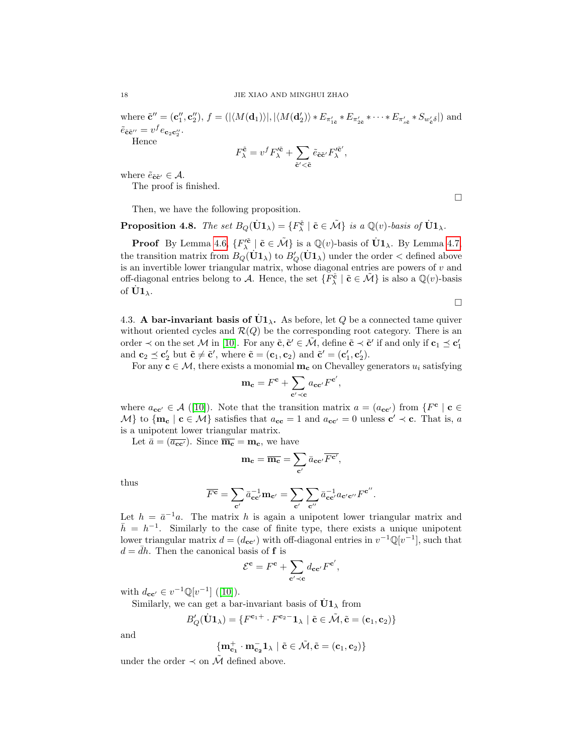where  $\tilde{\mathbf{c}}'' = (\mathbf{c}_1'', \mathbf{c}_2''), f = (|\langle M(\mathbf{d}_1) \rangle|, |\langle M(\mathbf{d}_2') \rangle * E_{\pi'_{1\tilde{\mathbf{c}}}} * E_{\pi'_{2\tilde{\mathbf{c}}}} * \cdots * E_{\pi'_{s\tilde{\mathbf{c}}}} * S_{w'_{\tilde{\mathbf{c}}}} \rangle]$  and  $\tilde{e}_{\tilde{\mathbf{c}}\tilde{\mathbf{c}}''}=v^f e_{\mathbf{c}_2\mathbf{c}_2''}.$ Hence

> $F^{\bf \tilde{c}}_\lambda = v^f F'^{\bf \tilde{c}}_\lambda + \sum$  $\tilde{\mathbf{c}}'$ < $\tilde{\mathbf{c}}$  $\tilde e_{\bf \tilde c \bf \tilde c'} F'^{\bf \tilde c'}_{\lambda}$ ν $\frac{1}{\lambda}$ ,

where  $\tilde{e}_{\tilde{\mathbf{c}}\tilde{\mathbf{c}}'} \in \mathcal{A}$ .

The proof is finished.

Then, we have the following proposition.

**Proposition 4.8.** The set  $B_Q(\dot{\mathbf{U}}1_\lambda) = \{F_\lambda^{\tilde{\mathbf{c}}} \mid \tilde{\mathbf{c}} \in \tilde{\mathcal{M}}\}$  is a  $\mathbb{Q}(v)$ -basis of  $\dot{\mathbf{U}}1_\lambda$ .

**Proof** By Lemma [4.6,](#page-15-0)  $\{F_{\lambda}^{\prime\tilde{\mathbf{c}}}\mid \tilde{\mathbf{c}} \in \tilde{\mathcal{M}}\}$  is a  $\mathbb{Q}(v)$ -basis of  $\dot{\mathbf{U}}\mathbf{1}_{\lambda}$ . By Lemma [4.7,](#page-15-1) the transition matrix from  $B_Q(\dot{U}1_A)$  to  $B_Q'(\dot{U}1_A)$  under the order  $\lt$  defined above is an invertible lower triangular matrix, whose diagonal entries are powers of  $v$  and off-diagonal entries belong to A. Hence, the set  $\{F_{\lambda}^{\tilde{c}} \mid \tilde{c} \in \tilde{\mathcal{M}}\}$  is also a  $\mathbb{Q}(v)$ -basis of  $\dot{\mathbf{U}}\mathbf{1}_{\lambda}$ .

 $\Box$ 

 $\Box$ 

4.3. A bar-invariant basis of  $\dot{U}1_{\lambda}$ . As before, let Q be a connected tame quiver without oriented cycles and  $\mathcal{R}(Q)$  be the corresponding root category. There is an order  $\prec$  on the set M in [\[10\]](#page-21-1). For any  $\tilde{\mathbf{c}}, \tilde{\mathbf{c}}' \in \tilde{\mathcal{M}}$ , define  $\tilde{\mathbf{c}} \prec \tilde{\mathbf{c}}'$  if and only if  $\mathbf{c}_1 \preceq \mathbf{c}'_1$ and  $\mathbf{c}_2 \preceq \mathbf{c}'_2$  but  $\tilde{\mathbf{c}} \neq \tilde{\mathbf{c}}'$ , where  $\tilde{\mathbf{c}} = (\mathbf{c}_1, \mathbf{c}_2)$  and  $\tilde{\mathbf{c}}' = (\mathbf{c}'_1, \mathbf{c}'_2)$ .

For any  $c \in \mathcal{M}$ , there exists a monomial  $m_c$  on Chevalley generators  $u_i$  satisfying

$$
\mathbf{m}_{\mathbf{c}} = F^{\mathbf{c}} + \sum_{\mathbf{c'} \prec \mathbf{c}} a_{\mathbf{c}\mathbf{c'}} F^{\mathbf{c'}},
$$

where  $a_{\mathbf{cc}'} \in \mathcal{A}$  ([\[10\]](#page-21-1)). Note that the transition matrix  $a = (a_{\mathbf{cc'}})$  from  $\{F^{\mathbf{c}} \mid \mathbf{c} \in$  $M$  to  $\{m_{\mathbf{c}} \mid \mathbf{c} \in \mathcal{M}\}\$  satisfies that  $a_{\mathbf{c}\mathbf{c}} = 1$  and  $a_{\mathbf{c}\mathbf{c}'} = 0$  unless  $\mathbf{c'} \prec \mathbf{c}$ . That is, a is a unipotent lower triangular matrix.

Let  $\bar{a} = (\overline{a_{cc'}})$ . Since  $\overline{m_c} = m_c$ , we have

$$
\mathbf{m_c} = \overline{\mathbf{m_c}} = \sum_{\mathbf{c}'} \bar{a_{\mathbf{c}\mathbf{c'}}} \overline{F^{\mathbf{c'}}},
$$

thus

$$
\overline{F^{\mathbf{c}}} = \sum_{\mathbf{c}'} \bar{a}_{\mathbf{c}\mathbf{c}'}^{-1} \mathbf{m}_{\mathbf{c}'} = \sum_{\mathbf{c}'} \sum_{\mathbf{c}''} \bar{a}_{\mathbf{c}\mathbf{c}'}^{-1} a_{\mathbf{c}'\mathbf{c}''} F^{\mathbf{c}''}.
$$

Let  $h = \bar{a}^{-1}a$ . The matrix h is again a unipotent lower triangular matrix and  $\bar{h} = h^{-1}$ . Similarly to the case of finite type, there exists a unique unipotent lower triangular matrix  $d = (d_{\text{cc'}})$  with off-diagonal entries in  $v^{-1}\mathbb{Q}[v^{-1}]$ , such that  $d = dh$ . Then the canonical basis of **f** is

$$
\mathcal{E}^{\mathbf{c}} = F^{\mathbf{c}} + \sum_{\mathbf{c'} \prec \mathbf{c}} d_{\mathbf{c} \mathbf{c'}} F^{\mathbf{c'}},
$$

with  $d_{cc'} \in v^{-1} \mathbb{Q}[v^{-1}]$  ([\[10\]](#page-21-1)).

Similarly, we can get a bar-invariant basis of  $\dot{U}1_{\lambda}$  from

$$
\mathit{B}_Q'(\dot{\mathbf{U}}\mathbf{1}_{\lambda})=\{\mathit{F}^{\mathbf{c}_1+}\cdot\mathit{F}^{\mathbf{c}_2-}\mathbf{1}_{\lambda}\mid \tilde{\mathbf{c}}\in \tilde{\mathcal{M}}, \tilde{\mathbf{c}}=(\mathbf{c}_1,\mathbf{c}_2)\}
$$

and

$$
\{{\mathbf m}_{{\mathbf c}_1}^+\cdot {\mathbf m}_{{\mathbf c}_2}^-\mathbf 1_\lambda\mid \tilde{{\mathbf c}}\in \tilde{\mathcal M}, \tilde{{\mathbf c}}=({\mathbf c}_1,{\mathbf c}_2)\}
$$

under the order  $\prec$  on  $\tilde{\mathcal{M}}$  defined above.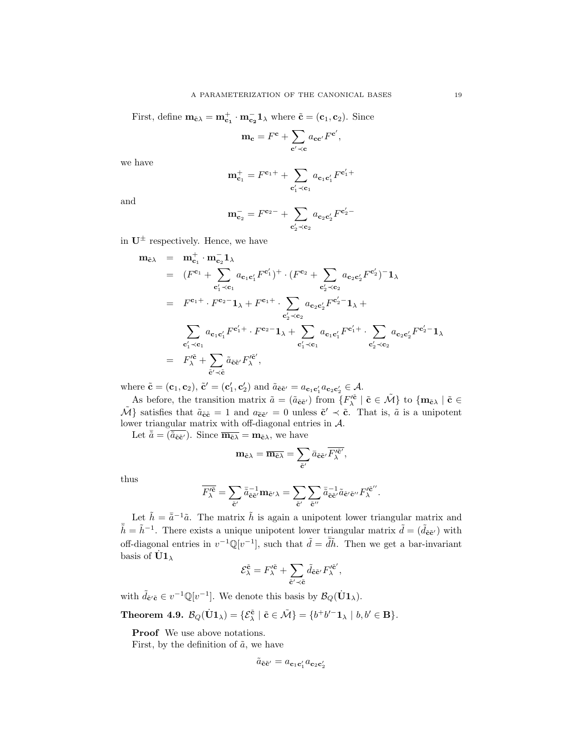First, define  $\mathbf{m}_{\tilde{\mathbf{c}}\lambda} = \mathbf{m}_{\mathbf{c}_1}^+ \cdot \mathbf{m}_{\mathbf{c}_2}^- \mathbf{1}_{\lambda}$  where  $\tilde{\mathbf{c}} = (\mathbf{c}_1, \mathbf{c}_2)$ . Since

$$
\mathbf{m}_{\mathbf{c}} = F^{\mathbf{c}} + \sum_{\mathbf{c'} \prec \mathbf{c}} a_{\mathbf{c}\mathbf{c'}} F^{\mathbf{c'}},
$$

we have

$$
\mathbf{m}_{\mathbf{c}_1}^+ = F^{\mathbf{c}_1 +} + \sum_{\mathbf{c}_1' \prec \mathbf{c}_1} a_{\mathbf{c}_1 \mathbf{c}_1'} F^{\mathbf{c}_1' +}
$$

and

$$
\mathbf{m}_{\mathbf{c}_2}^- = F^{\mathbf{c}_2 -} + \sum_{\mathbf{c}_2' \prec \mathbf{c}_2} a_{\mathbf{c}_2 \mathbf{c}_2'} F^{\mathbf{c}_2' -}
$$

in  $U^{\pm}$  respectively. Hence, we have

$$
\mathbf{m}_{\tilde{c}\lambda} = \mathbf{m}_{c_1}^+ \cdot \mathbf{m}_{c_2}^- \mathbf{1}_{\lambda} \n= (F^{c_1} + \sum_{c'_1 \prec c_1} a_{c_1 c'_1} F^{c'_1})^+ \cdot (F^{c_2} + \sum_{c'_2 \prec c_2} a_{c_2 c'_2} F^{c'_2})^- \mathbf{1}_{\lambda} \n= F^{c_1+} \cdot F^{c_2-} \mathbf{1}_{\lambda} + F^{c_1+} \cdot \sum_{c'_2 \prec c_2} a_{c_2 c'_2} F^{c'_2-} \mathbf{1}_{\lambda} + \n\sum_{c'_1 \prec c_1} a_{c_1 c'_1} F^{c'_1+} \cdot F^{c_2-} \mathbf{1}_{\lambda} + \sum_{c'_1 \prec c_1} a_{c_1 c'_1} F^{c'_1+} \cdot \sum_{c'_2 \prec c_2} a_{c_2 c'_2} F^{c'_2-} \mathbf{1}_{\lambda} \n= F'^{\tilde{c}}_{\lambda} + \sum_{\tilde{c}' \prec \tilde{c}} \tilde{a}_{\tilde{c}\tilde{c}'} F'^{\tilde{c}'},
$$

where  $\tilde{\mathbf{c}} = (\mathbf{c}_1, \mathbf{c}_2), \tilde{\mathbf{c}}' = (\mathbf{c}'_1, \mathbf{c}'_2)$  and  $\tilde{a}_{\tilde{\mathbf{c}}\tilde{\mathbf{c}}'} = a_{\mathbf{c}_1\mathbf{c}'_1}a_{\mathbf{c}_2\mathbf{c}'_2} \in \mathcal{A}$ .

As before, the transition matrix  $\tilde{a} = (\tilde{a}_{\tilde{\mathbf{c}}\tilde{\mathbf{c}}'})$  from  $\{F'^{\tilde{\mathbf{c}}}_{\lambda} \mid \tilde{\mathbf{c}} \in \tilde{\mathcal{M}}\}$  to  $\{\mathbf{m}_{\tilde{\mathbf{c}}\lambda} \mid \tilde{\mathbf{c}} \in \tilde{\mathbf{c}}\}$  $\tilde{\mathcal{M}}$ } satisfies that  $\tilde{a}_{\tilde{c}\tilde{c}} = 1$  and  $a_{\tilde{c}\tilde{c}'} = 0$  unless  $\tilde{c}' \prec \tilde{c}$ . That is,  $\tilde{a}$  is a unipotent lower triangular matrix with off-diagonal entries in A.

Let  $\bar{\tilde{a}} = (\tilde{a}_{\tilde{\mathbf{c}}\tilde{\mathbf{c}}'})$ . Since  $\overline{\mathbf{m}_{\tilde{\mathbf{c}}\lambda}} = \mathbf{m}_{\tilde{\mathbf{c}}\lambda}$ , we have

$$
\mathbf{m}_{\tilde{\mathbf{c}}\lambda} = \overline{\mathbf{m}_{\tilde{\mathbf{c}}\lambda}} = \sum_{\tilde{\mathbf{c}}'} \bar{a}_{\tilde{\mathbf{c}}\tilde{\mathbf{c}}'} \overline{F'^{\tilde{\mathbf{c}}'}_{\lambda}},
$$

thus

$$
\overline{F'^{\tilde{\mathbf{c}}}_{\lambda}}=\sum_{\tilde{\mathbf{c}}'}\bar{\tilde{a}}_{\tilde{\mathbf{c}}\tilde{\mathbf{c}}'}^{-1}\mathbf{m}_{\tilde{\mathbf{c}}'\lambda}=\sum_{\tilde{\mathbf{c}}'}\sum_{\tilde{\mathbf{c}}''}\bar{\tilde{a}}_{\tilde{\mathbf{c}}\tilde{\mathbf{c}}'}^{-1}\tilde{a}_{\tilde{\mathbf{c}}'\tilde{\mathbf{c}}''}F'^{\tilde{\mathbf{c}}''}_{\lambda}.
$$

Let  $\tilde{h} = \bar{\tilde{a}}^{-1}\tilde{a}$ . The matrix  $\tilde{h}$  is again a unipotent lower triangular matrix and  $\tilde{\hbar} = \tilde{h}^{-1}$ . There exists a unique unipotent lower triangular matrix  $\tilde{d} = (\tilde{d}_{\tilde{c}\tilde{c}'} )$  with off-diagonal entries in  $v^{-1}\mathbb{Q}[v^{-1}]$ , such that  $\tilde{d} = d\tilde{h}$ . Then we get a bar-invariant basis of  $\dot{\text{U}}1_{\lambda}$ 

$$
\mathcal{E}_{\lambda}^{\tilde{\mathbf{c}}} = F_{\lambda}^{\prime \tilde{\mathbf{c}}} + \sum_{\tilde{\mathbf{c}}^{\prime} \prec \tilde{\mathbf{c}}} \tilde{d}_{\tilde{\mathbf{c}} \tilde{\mathbf{c}}^{\prime}} F_{\lambda}^{\prime \tilde{\mathbf{c}}^{\prime}},
$$

with  $\tilde{d}_{\tilde{\mathbf{c}}'\tilde{\mathbf{c}}} \in v^{-1}\mathbb{Q}[v^{-1}]$ . We denote this basis by  $\mathcal{B}_Q(\dot{\mathbf{U}}\mathbf{1}_{\lambda})$ .

<span id="page-18-0"></span>Theorem 4.9.  $\mathcal{B}_Q(\dot{\mathbf{U}}\mathbf{1}_{\lambda}) = \{ \mathcal{E}_{\lambda}^{\tilde{\mathbf{c}}} \mid \tilde{\mathbf{c}} \in \tilde{\mathcal{M}} \} = \{ b^+b'^-\mathbf{1}_{\lambda} \mid b,b' \in \mathbf{B} \}.$ 

Proof We use above notations.

First, by the definition of  $\tilde{a}$ , we have

$$
\tilde{a}_{\tilde{\mathbf{c}}\tilde{\mathbf{c}}'} = a_{\mathbf{c}_1\mathbf{c}_1'} a_{\mathbf{c}_2\mathbf{c}_2'}
$$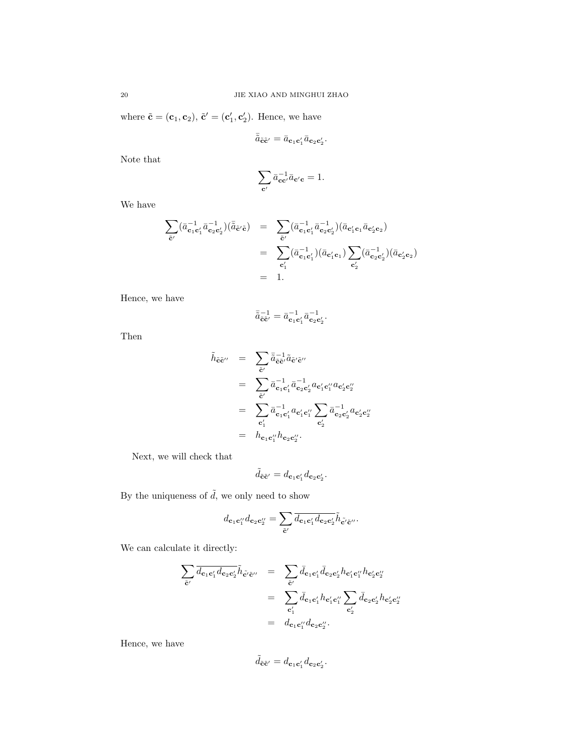where  $\tilde{\mathbf{c}} = (\mathbf{c}_1, \mathbf{c}_2), \tilde{\mathbf{c}}' = (\mathbf{c}'_1, \mathbf{c}'_2)$ . Hence, we have

$$
\bar{\tilde{a}}_{\tilde{\mathbf{c}}\tilde{\mathbf{c}}'}=\bar{a}_{\mathbf{c}_1\mathbf{c}_1'}\bar{a}_{\mathbf{c}_2\mathbf{c}_2'}.
$$

Note that

$$
\sum_{\mathbf{c}'} \bar{a}_{\mathbf{c}\mathbf{c}'}^{-1} \bar{a}_{\mathbf{c}'\mathbf{c}} = 1.
$$

We have

$$
\begin{array}{lcl} \displaystyle \sum_{\tilde{\mathbf{c}}'} ( \bar{a}_{\mathbf{c}_1 \mathbf{c}_1'}^{-1} \bar{a}_{\mathbf{c}_2 \mathbf{c}_2'}) ( \bar{\tilde{a}}_{\tilde{\mathbf{c}}'\tilde{\mathbf{c}}} ) & = & \displaystyle \sum_{\tilde{\mathbf{c}}'} ( \bar{a}_{\mathbf{c}_1 \mathbf{c}_1'}^{-1} \bar{a}_{\mathbf{c}_2 \mathbf{c}_2'}) ( \bar{a}_{\mathbf{c}_1' \mathbf{c}_1} \bar{a}_{\mathbf{c}_2' \mathbf{c}_2} ) \\ & = & \displaystyle \sum_{\mathbf{c}_1'} ( \bar{a}_{\mathbf{c}_1 \mathbf{c}_1'}^{-1} ) ( \bar{a}_{\mathbf{c}_1' \mathbf{c}_1} ) \sum_{\mathbf{c}_2'} ( \bar{a}_{\mathbf{c}_2 \mathbf{c}_2}^{-1} ) ( \bar{a}_{\mathbf{c}_2' \mathbf{c}_2} ) \\ & = & 1. \end{array}
$$

Hence, we have

$$
\bar{\tilde{a}}_{\tilde{\mathbf{c}}\tilde{\mathbf{c}}'}^{-1}=\bar{a}_{\mathbf{c}_1\mathbf{c}_1'}^{-1}\bar{a}_{\mathbf{c}_2\mathbf{c}_2'}^{-1}.
$$

Then

$$
\tilde{h}_{\tilde{\mathbf{c}}\tilde{\mathbf{c}}''} = \sum_{\tilde{\mathbf{c}}'} \overline{\tilde{a}}_{\tilde{\mathbf{c}}\tilde{\mathbf{c}}'}^{-1} \tilde{a}_{\tilde{\mathbf{c}}'\tilde{\mathbf{c}}''} \n= \sum_{\tilde{\mathbf{c}}'} \overline{a}_{\mathbf{c}_1\mathbf{c}_1'}^{-1} \overline{a}_{\mathbf{c}_2\mathbf{c}_2'}^{-1} a_{\mathbf{c}_1'\mathbf{c}_1''} a_{\mathbf{c}_2'\mathbf{c}_2''} \n= \sum_{\mathbf{c}_1'} \overline{a}_{\mathbf{c}_1\mathbf{c}_1'}^{-1} a_{\mathbf{c}_1'\mathbf{c}_1''} \sum_{\mathbf{c}_2'} \overline{a}_{\mathbf{c}_2\mathbf{c}_2'}^{-1} a_{\mathbf{c}_2'\mathbf{c}_2''} \n= h_{\mathbf{c}_1\mathbf{c}_1''} h_{\mathbf{c}_2\mathbf{c}_2''}.
$$

Next, we will check that

$$
\tilde{d}_{\tilde{\mathbf{c}}\tilde{\mathbf{c}}'}=d_{\mathbf{c}_1\mathbf{c}_1'}d_{\mathbf{c}_2\mathbf{c}_2'}.
$$

By the uniqueness of  $\tilde{d},$  we only need to show

$$
d_{\mathbf{c}_1\mathbf{c}_1''}d_{\mathbf{c}_2\mathbf{c}_2''} = \sum_{\tilde{\mathbf{c}}'} \overline{d_{\mathbf{c}_1\mathbf{c}_1'}d_{\mathbf{c}_2\mathbf{c}_2'}} \tilde{h}_{\tilde{\mathbf{c}}'\tilde{\mathbf{c}}''}.
$$

We can calculate it directly:

$$
\sum_{\tilde{\mathbf{c}}'} \overline{d_{\mathbf{c}_1 \mathbf{c}'_1} d_{\mathbf{c}_2 \mathbf{c}'_2}} \tilde{h}_{\tilde{\mathbf{c}}' \tilde{\mathbf{c}}}^{\prime\prime} = \sum_{\tilde{\mathbf{c}}'} \overline{d}_{\mathbf{c}_1 \mathbf{c}'_1} \overline{d}_{\mathbf{c}_2 \mathbf{c}'_2} h_{\mathbf{c}'_1 \mathbf{c}''_1} h_{\mathbf{c}'_2 \mathbf{c}''_2}
$$
\n
$$
= \sum_{\mathbf{c}'_1} \overline{d}_{\mathbf{c}_1 \mathbf{c}'_1} h_{\mathbf{c}'_1 \mathbf{c}''_1} \sum_{\mathbf{c}'_2} \overline{d}_{\mathbf{c}_2 \mathbf{c}'_2} h_{\mathbf{c}'_2 \mathbf{c}''_2}
$$
\n
$$
= d_{\mathbf{c}_1 \mathbf{c}''_1} d_{\mathbf{c}_2 \mathbf{c}''_2}.
$$

Hence, we have

$$
\tilde{d}_{\tilde{\mathbf{c}}\tilde{\mathbf{c}}'}=d_{\mathbf{c}_1\mathbf{c}_1'}d_{\mathbf{c}_2\mathbf{c}_2'}.
$$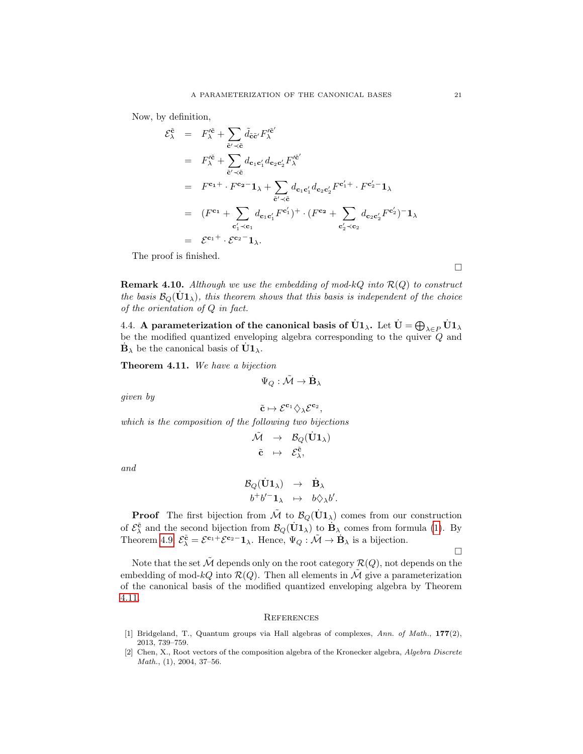Now, by definition,

$$
\begin{split}\n\mathcal{E}_{\lambda}^{\tilde{\mathbf{c}}} &= F_{\lambda}^{\prime \tilde{\mathbf{c}}} + \sum_{\tilde{\mathbf{c}}^{\prime} \prec \tilde{\mathbf{c}}} \tilde{d}_{\tilde{\mathbf{c}}} \tilde{\mathbf{c}}^{\prime} F_{\lambda}^{\prime \tilde{\mathbf{c}}^{\prime}} \\
&= F_{\lambda}^{\prime \tilde{\mathbf{c}}} + \sum_{\tilde{\mathbf{c}}^{\prime} \prec \tilde{\mathbf{c}}} d_{\mathbf{c}_1 \mathbf{c}_1^{\prime}} d_{\mathbf{c}_2 \mathbf{c}_2^{\prime}} F_{\lambda}^{\prime \tilde{\mathbf{c}}^{\prime}} \\
&= F^{\mathbf{c}_1 + \cdots F^{\mathbf{c}_2 - 1} \lambda + \sum_{\tilde{\mathbf{c}}^{\prime} \prec \tilde{\mathbf{c}}} d_{\mathbf{c}_1 \mathbf{c}_1^{\prime}} d_{\mathbf{c}_2 \mathbf{c}_2^{\prime}} F^{\mathbf{c}_1^{\prime} + \cdots F^{\mathbf{c}_2^{\prime} - 1} \lambda} \\
&= (F^{\mathbf{c}_1} + \sum_{\mathbf{c}_1^{\prime} \prec \mathbf{c}_1} d_{\mathbf{c}_1 \mathbf{c}_1^{\prime}} F^{\mathbf{c}_1^{\prime}})^+ \cdot (F^{\mathbf{c}_2} + \sum_{\mathbf{c}_2^{\prime} \prec \mathbf{c}_2} d_{\mathbf{c}_2 \mathbf{c}_2^{\prime}} F^{\mathbf{c}_2^{\prime}})^- \mathbf{1}_{\lambda} \\
&= \mathcal{E}^{\mathbf{c}_1 + \cdots + \mathcal{E}^{\mathbf{c}_2 - 1} \lambda}.\n\end{split}
$$

The proof is finished.

**Remark 4.10.** Although we use the embedding of mod-kQ into  $\mathcal{R}(Q)$  to construct the basis  $\mathcal{B}_{Q}(\dot{U}1_{\lambda})$ , this theorem shows that this basis is independent of the choice of the orientation of Q in fact.

4.4. A parameterization of the canonical basis of  $\dot{U}1_\lambda$ . Let  $\dot{U}=\bigoplus_{\lambda\in P}\dot{U}1_\lambda$ be the modified quantized enveloping algebra corresponding to the quiver Q and  $\dot{\mathbf{B}}_{\lambda}$  be the canonical basis of  $\dot{\mathbf{U}}\mathbf{1}_{\lambda}$ .

<span id="page-20-2"></span>Theorem 4.11. We have a bijection

$$
\Psi_Q:\tilde{\mathcal{M}}\to \dot{\mathbf{B}}_\lambda
$$

given by

$$
\tilde{\mathbf{c}} \mapsto \mathcal{E}^{\mathbf{c}_1} \diamondsuit_{\lambda} \mathcal{E}^{\mathbf{c}_2},
$$

which is the composition of the following two bijections

$$
\begin{array}{lcl} \tilde{\mathcal{M}} & \to & \mathcal{B}_{Q}(\dot{\mathbf{U}}\mathbf{1}_{\lambda}) \\ \tilde{\mathbf{c}} & \mapsto & \mathcal{E}^{\tilde{\mathbf{c}}}_{\lambda}, \end{array}
$$

and

$$
\begin{array}{ccc}\mathcal{B}_{Q}(\dot{\mathbf{U}}\mathbf{1}_{\lambda})&\to&\dot{\mathbf{B}}_{\lambda}\\b^{+}b^{\prime-}\mathbf{1}_{\lambda}&\mapsto&b\Diamond_{\lambda}b^{\prime}.\end{array}
$$

**Proof** The first bijection from  $\tilde{\mathcal{M}}$  to  $\mathcal{B}_Q(\dot{U}1_\lambda)$  comes from our construction of  $\mathcal{E}_{\lambda}^{\tilde{\mathbf{c}}}$  and the second bijection from  $\mathcal{B}_{Q}(\mathbf{U}\mathbf{1}_{\lambda})$  to  $\mathbf{B}_{\lambda}$  comes from formula [\(1\)](#page-4-0). By Theorem [4.9,](#page-18-0)  $\mathcal{E}_{\lambda}^{\tilde{\mathbf{c}}} = \mathcal{E}^{\mathbf{c}_1 +} \mathcal{E}^{\mathbf{c}_2 -} \mathbf{1}_{\lambda}$ . Hence,  $\Psi_Q : \tilde{\mathcal{M}} \to \mathbf{B}_{\lambda}$  is a bijection.

 $\Box$ 

Note that the set  $\tilde{\mathcal{M}}$  depends only on the root category  $\mathcal{R}(Q)$ , not depends on the embedding of mod-kQ into  $\mathcal{R}(Q)$ . Then all elements in  $\mathcal{\tilde{M}}$  give a parameterization of the canonical basis of the modified quantized enveloping algebra by Theorem [4.11.](#page-20-2)

#### **REFERENCES**

- <span id="page-20-0"></span>[1] Bridgeland, T., Quantum groups via Hall algebras of complexes, Ann. of Math., 177(2), 2013, 739–759.
- <span id="page-20-1"></span>[2] Chen, X., Root vectors of the composition algebra of the Kronecker algebra, Algebra Discrete Math., (1), 2004, 37–56.

 $\Box$